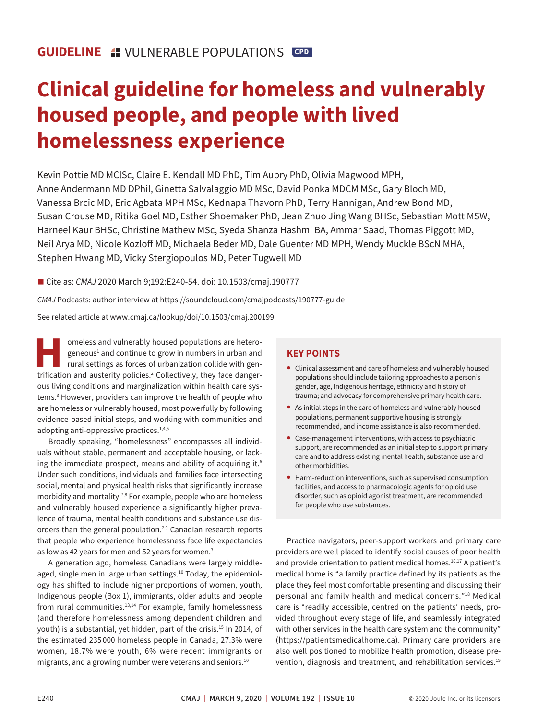# **Clinical guideline for homeless and vulnerably housed people, and people with lived homelessness experience**

 Anne Andermann MD DPhil, Ginetta Salvalaggio MD MSc, David Ponka MDCM MSc, Gary Bloch MD, Harneel Kaur BHSc, Christine Mathew MSc, Syeda Shanza Hashmi BA, Ammar Saad, Thomas Piggott MD, Neil Arya MD, Nicole Kozloff MD, Michaela Beder MD, Dale Guenter MD MPH, Wendy Muckle BScN MHA, Kevin Pottie MD MClSc, Claire E. Kendall MD PhD, Tim Aubry PhD, Olivia Magwood MPH, Vanessa Brcic MD, Eric Agbata MPH MSc, Kednapa Thavorn PhD, Terry Hannigan, Andrew Bond MD, Susan Crouse MD, Ritika Goel MD, Esther Shoemaker PhD, Jean Zhuo Jing Wang BHSc, Sebastian Mott MSW, Stephen Hwang MD, Vicky Stergiopoulos MD, Peter Tugwell MD

■ Cite as: *CMAJ* 2020 March 9;192:E240-54. doi: 10.1503/cmaj.190777

*CMAJ* Podcasts: author interview at https://soundcloud.com/cmajpodcasts/190777-guide

See related article at www.cmaj.ca/lookup/doi/10.1503/cmaj.200199

omeless and vulnerably housed populations are hetero-<br>geneous<sup>1</sup> and continue to grow in numbers in urban and<br>rural settings as forces of urbanization collide with gen-<br>trification and austerity policies<sup>2</sup> Collectively, t geneous<sup>1</sup> and continue to grow in numbers in urban and rural settings as forces of urbanization collide with gentrification and austerity policies.<sup>2</sup> Collectively, they face dangerous living conditions and marginalization within health care systems[.3](#page-10-2) However, providers can improve the health of people who are homeless or vulnerably housed, most powerfully by following evidence-based initial steps, and working with communities and adopting anti-oppressive practices.<sup>1[,4](#page-10-3),5</sup>

Broadly speaking, "homelessness" encompasses all individuals without stable, permanent and acceptable housing, or lacking the immediate prospect, means and ability of acquiring it. $6$ Under such conditions, individuals and families face intersecting social, mental and physical health risks that significantly increase morbidity and mortality.<sup>7,[8](#page-10-7)</sup> For example, people who are homeless and vulnerably housed experience a significantly higher prevalence of trauma, mental health conditions and substance use dis-orders than the general population.<sup>7[,9](#page-10-8)</sup> Canadian research reports that people who experience homelessness face life expectancies as low as 42 years for men and 52 years for women[.7](#page-10-6)

A generation ago, homeless Canadians were largely middleaged, single men in large urban settings.<sup>10</sup> Today, the epidemiology has shifed to include higher proportions of women, youth, Indigenous people (Box 1), immigrants, older adults and people from rural communities.<sup>13,[14](#page-10-11)</sup> For example, family homelessness (and therefore homelessness among dependent children and youth) is a substantial, yet hidden, part of the crisis.<sup>[15](#page-10-12)</sup> In 2014, of the estimated 235 000 homeless people in Canada, 27.3% were women, 18.7% were youth, 6% were recent immigrants or migrants, and a growing number were veterans and seniors[.10](#page-10-9) 

# **KEY POINTS**

- Clinical assessment and care of homeless and vulnerably housed populations should include tailoring approaches to a person's gender, age, Indigenous heritage, ethnicity and history of trauma; and advocacy for comprehensive primary health care.
- As initial steps in the care of homeless and vulnerably housed populations, permanent supportive housing is strongly recommended, and income assistance is also recommended.
- Case-management interventions, with access to psychiatric support, are recommended as an initial step to support primary care and to address existing mental health, substance use and other morbidities.
- Harm-reduction interventions, such as supervised consumption facilities, and access to pharmacologic agents for opioid use disorder, such as opioid agonist treatment, are recommended for people who use substances.

i Practice navigators, peer-support workers and primary care providers are well placed to identify social causes of poor health and provide orientation to patient medical homes.<sup>16,17</sup> A patient's medical home is "a family practice defined by its patients as the place they feel most comfortable presenting and discussing their personal and family health and medical concerns."[18](#page-10-14) Medical care is "readily accessible, centred on the patients' needs, provided throughout every stage of life, and seamlessly integrated with other services in the health care system and the community" (https://patientsmedicalhome.ca). Primary care providers are also well positioned to mobilize health promotion, disease prevention, diagnosis and treatment, and rehabilitation services.<sup>19</sup>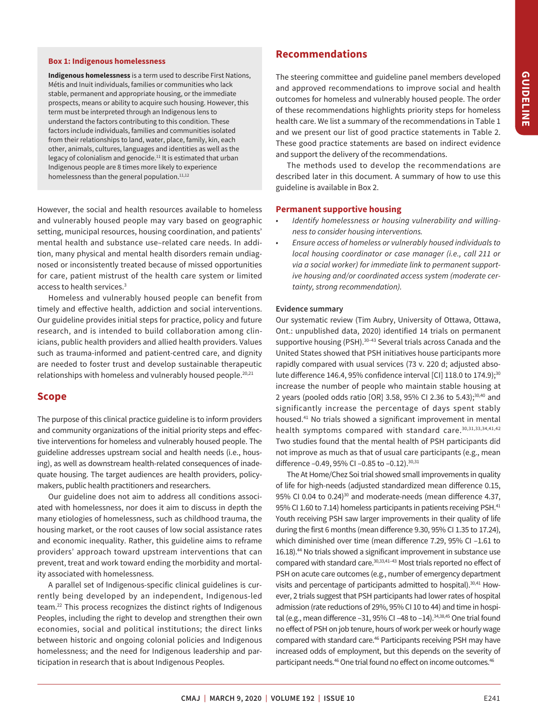#### **Box 1: Indigenous homelessness**

**Indigenous homelessness** is a term used to describe First Nations, Métis and Inuit individuals, families or communities who lack stable, permanent and appropriate housing, or the immediate prospects, means or ability to acquire such housing. However, this term must be interpreted through an Indigenous lens to understand the factors contributing to this condition. These factors include individuals, families and communities isolated from their relationships to land, water, place, family, kin, each other, animals, cultures, languages and identities as well as the legacy of colonialism and genocide. $11$  It is estimated that urban Indigenous people are 8 times more likely to experience homelessness than the general population.<sup>11,12</sup>

However, the social and health resources available to homeless and vulnerably housed people may vary based on geographic setting, municipal resources, housing coordination, and patients' mental health and substance use–related care needs. In addition, many physical and mental health disorders remain undiagnosed or inconsistently treated because of missed opportunities for care, patient mistrust of the health care system or limited access to health services[.3](#page-10-2) 

Homeless and vulnerably housed people can benefit from timely and efective health, addiction and social interventions. Our guideline provides initial steps for practice, policy and future research, and is intended to build collaboration among clinicians, public health providers and allied health providers. Values such as trauma-informed and patient-centred care, and dignity are needed to foster trust and develop sustainable therapeutic relationships with homeless and vulnerably housed people.<sup>20,21</sup>

# **Scope**

 guideline addresses upstream social and health needs (i.e., hous-The purpose of this clinical practice guideline is to inform providers and community organizations of the initial priority steps and efective interventions for homeless and vulnerably housed people. The ing), as well as downstream health-related consequences of inadequate housing. The target audiences are health providers, policymakers, public health practitioners and researchers.

 Our guideline does not aim to address all conditions associated with homelessness, nor does it aim to discuss in depth the many etiologies of homelessness, such as childhood trauma, the housing market, or the root causes of low social assistance rates and economic inequality. Rather, this guideline aims to reframe providers' approach toward upstream interventions that can prevent, treat and work toward ending the morbidity and mortality associated with homelessness.

A parallel set of Indigenous-specific clinical guidelines is currently being developed by an independent, Indigenous-led team[.22](#page-10-17) This process recognizes the distinct rights of Indigenous Peoples, including the right to develop and strengthen their own economies, social and political institutions; the direct links between historic and ongoing colonial policies and Indigenous homelessness; and the need for Indigenous leadership and participation in research that is about Indigenous Peoples.

# **Recommendations**

The steering committee and guideline panel members developed and approved recommendations to improve social and health outcomes for homeless and vulnerably housed people. The order of these recommendations highlights priority steps for homeless health care. We list a summary of the recommendations in Table 1 and we present our list of good practice statements in Table 2. These good practice statements are based on indirect evidence and support the delivery of the recommendations.

The methods used to develop the recommendations are described later in this document. A summary of how to use this guideline is available in Box 2.

## **Permanent supportive housing**

- *Identify homelessness or housing vulnerability and willingness to consider housing interventions.*
- *Ensure access of homeless or vulnerably housed individuals to local housing coordinator or case manager (i.e., call 211 or via a social worker) for immediate link to permanent supportive housing and/or coordinated access system (moderate certainty, strong recommendation).*

#### **Evidence summary**

Our systematic review (Tim Aubry, University of Ottawa, Ottawa, Ont.: unpublished data, 2020) identified 14 trials on permanent supportive housing (PSH).<sup>30-[43](#page-10-19)</sup> Several trials across Canada and the United States showed that PSH initiatives house participants more rapidly compared with usual services (73 v. 220 d; adjusted absolute difference 146.4, 95% confidence interval [CI] 118.0 to 174.9);<sup>30</sup> increase the number of people who maintain stable housing at 2 years (pooled odds ratio [OR] 3.58, 95% CI 2.36 to 5.43);<sup>30,40</sup> and significantly increase the percentage of days spent stably housed[.41](#page-10-21) No trials showed a significant improvement in mental health symptoms compared with standard care.<sup>30,[31](#page-10-22),[33](#page-10-23)[,34](#page-10-24)[,41](#page-10-21),42</sup> Two studies found that the mental health of PSH participants did not improve as much as that of usual care participants (e.g., mean difference -0.49, 95% CI -0.85 to -0.12).<sup>30,31</sup>

The At Home/Chez Soi trial showed small improvements in quality of life for high-needs (adjusted standardized mean diference 0.15, 95% CI 0.04 to 0.24 $30$  and moderate-needs (mean difference 4.37, 95% CI 1.60 to 7.14) homeless participants in patients receiving PSH.<sup>41</sup> Youth receiving PSH saw larger improvements in their quality of life during the first 6 months (mean diference 9.30, 95% CI 1.35 to 17.24), which diminished over time (mean diference 7.29, 95% CI –1.61 to 16.18).<sup>44</sup> No trials showed a significant improvement in substance use compared with standard care.<sup>30,[33,](#page-10-23)41-[43](#page-10-19)</sup> Most trials reported no effect of PSH on acute care outcomes (e.g., number of emergency department visits and percentage of participants admitted to hospital).<sup>[30,](#page-10-18)41</sup> However, 2 trials suggest that PSH participants had lower rates of hospital admission (rate reductions of 29%, 95% CI 10 to 44) and time in hospital (e.g., mean difference  $-31$ , 95% CI  $-48$  to  $-14$ ).<sup>34[,38,](#page-10-27)[45](#page-10-26)</sup> One trial found no efect of PSH on job tenure, hours of work per week or hourly wage compared with standard care.<sup>46</sup> Participants receiving PSH may have increased odds of employment, but this depends on the severity of participant needs.<sup>46</sup> One trial found no effect on income outcomes.<sup>46</sup>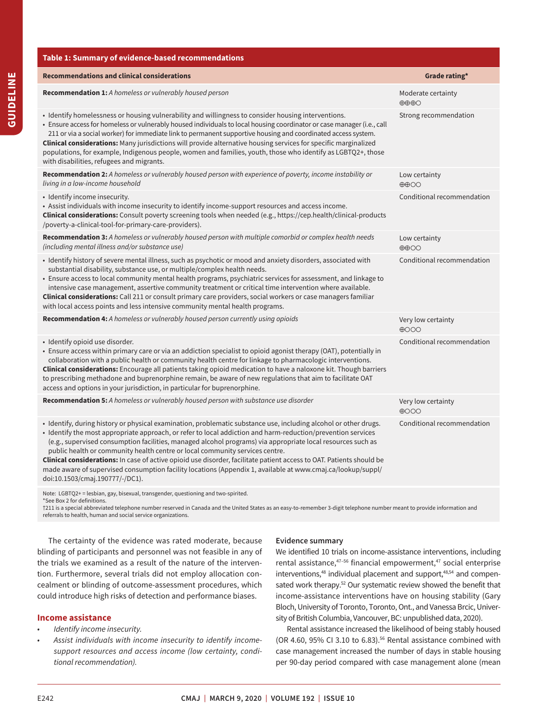| Table 1: Summary of evidence-based recommendations                                                                                                                                                                                                                                                                                                                                                                                                                                                                                                                                                                                                                                                        |                                                    |
|-----------------------------------------------------------------------------------------------------------------------------------------------------------------------------------------------------------------------------------------------------------------------------------------------------------------------------------------------------------------------------------------------------------------------------------------------------------------------------------------------------------------------------------------------------------------------------------------------------------------------------------------------------------------------------------------------------------|----------------------------------------------------|
| <b>Recommendations and clinical considerations</b>                                                                                                                                                                                                                                                                                                                                                                                                                                                                                                                                                                                                                                                        | Grade rating*                                      |
| Recommendation 1: A homeless or vulnerably housed person                                                                                                                                                                                                                                                                                                                                                                                                                                                                                                                                                                                                                                                  | Moderate certainty<br>$\oplus \oplus \oplus \odot$ |
| • Identify homelessness or housing vulnerability and willingness to consider housing interventions.<br>• Ensure access for homeless or vulnerably housed individuals to local housing coordinator or case manager (i.e., call<br>211 or via a social worker) for immediate link to permanent supportive housing and coordinated access system.<br>Clinical considerations: Many jurisdictions will provide alternative housing services for specific marginalized<br>populations, for example, Indigenous people, women and families, youth, those who identify as LGBTQ2+, those<br>with disabilities, refugees and migrants.                                                                            | Strong recommendation                              |
| Recommendation 2: A homeless or vulnerably housed person with experience of poverty, income instability or<br>living in a low-income household                                                                                                                                                                                                                                                                                                                                                                                                                                                                                                                                                            | Low certainty<br>$\oplus$ $\oplus$ OO              |
| · Identify income insecurity.<br>• Assist individuals with income insecurity to identify income-support resources and access income.<br>Clinical considerations: Consult poverty screening tools when needed (e.g., https://cep.health/clinical-products<br>/poverty-a-clinical-tool-for-primary-care-providers).                                                                                                                                                                                                                                                                                                                                                                                         | Conditional recommendation                         |
| Recommendation 3: A homeless or vulnerably housed person with multiple comorbid or complex health needs<br>(including mental illness and/or substance use)                                                                                                                                                                                                                                                                                                                                                                                                                                                                                                                                                | Low certainty<br>$\oplus$ $\oplus$ OO              |
| · Identify history of severe mental illness, such as psychotic or mood and anxiety disorders, associated with<br>substantial disability, substance use, or multiple/complex health needs.<br>• Ensure access to local community mental health programs, psychiatric services for assessment, and linkage to<br>intensive case management, assertive community treatment or critical time intervention where available.<br><b>Clinical considerations:</b> Call 211 or consult primary care providers, social workers or case managers familiar<br>with local access points and less intensive community mental health programs.                                                                           | Conditional recommendation                         |
| <b>Recommendation 4:</b> A homeless or vulnerably housed person currently using opioids                                                                                                                                                                                                                                                                                                                                                                                                                                                                                                                                                                                                                   | Very low certainty<br>$\bigoplus$                  |
| · Identify opioid use disorder.<br>• Ensure access within primary care or via an addiction specialist to opioid agonist therapy (OAT), potentially in<br>collaboration with a public health or community health centre for linkage to pharmacologic interventions.<br>Clinical considerations: Encourage all patients taking opioid medication to have a naloxone kit. Though barriers<br>to prescribing methadone and buprenorphine remain, be aware of new regulations that aim to facilitate OAT<br>access and options in your jurisdiction, in particular for buprenorphine.                                                                                                                          | Conditional recommendation                         |
| Recommendation 5: A homeless or vulnerably housed person with substance use disorder                                                                                                                                                                                                                                                                                                                                                                                                                                                                                                                                                                                                                      | Very low certainty<br>$\bigoplus$ OOO              |
| · Identify, during history or physical examination, problematic substance use, including alcohol or other drugs.<br>• Identify the most appropriate approach, or refer to local addiction and harm-reduction/prevention services<br>(e.g., supervised consumption facilities, managed alcohol programs) via appropriate local resources such as<br>public health or community health centre or local community services centre.<br>Clinical considerations: In case of active opioid use disorder, facilitate patient access to OAT. Patients should be<br>made aware of supervised consumption facility locations (Appendix 1, available at www.cmaj.ca/lookup/suppl/<br>doi:10.1503/cmaj.190777/-/DC1). | Conditional recommendation                         |
| Note: LGBTQ2+ = lesbian, gay, bisexual, transgender, questioning and two-spirited.<br>*See Box 2 for definitions.                                                                                                                                                                                                                                                                                                                                                                                                                                                                                                                                                                                         |                                                    |

†211 is a special abbreviated telephone number reserved in Canada and the United States as an easy-to-remember 3-digit telephone number meant to provide information and referrals to health, human and social service organizations.

The certainty of the evidence was rated moderate, because blinding of participants and personnel was not feasible in any of the trials we examined as a result of the nature of the intervention. Furthermore, several trials did not employ allocation concealment or blinding of outcome-assessment procedures, which could introduce high risks of detection and performance biases.

# **Income assistance**

- *Identify income insecurity.*
- *Assist individuals with income insecurity to identify incomesupport resources and access income (low certainty, conditional recommendation).*

# **Evidence summary**

We identified 10 trials on income-assistance interventions, including rental assistance, $47-56$  financial empowerment, $47$  social enterprise interventions,<sup>48</sup> individual placement and support,<sup>48,54</sup> and compensated work therapy.<sup>52</sup> Our systematic review showed the benefit that income-assistance interventions have on housing stability (Gary Bloch, University of Toronto, Toronto, Ont., and Vanessa Brcic, University of British Columbia, Vancouver, BC: unpublished data, 2020).

Rental assistance increased the likelihood of being stably housed (OR 4.60, 95% CI 3.10 to 6.83).<sup>56</sup> Rental assistance combined with case management increased the number of days in stable housing per 90-day period compared with case management alone (mean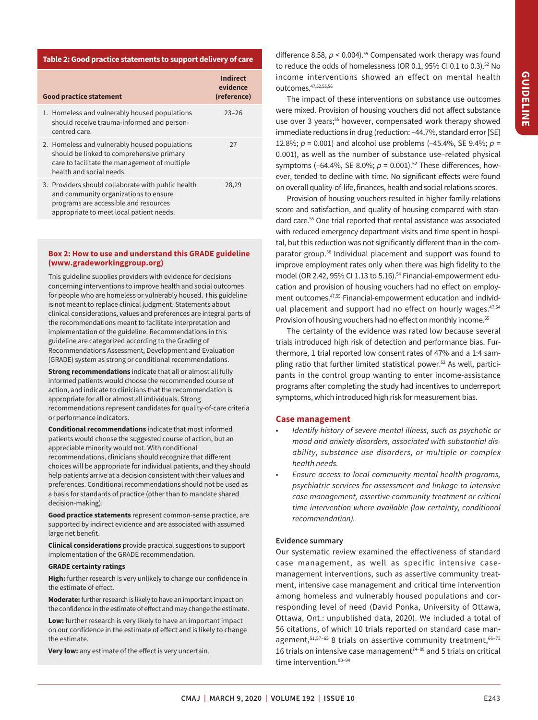# **Table 2: Good practice statements to support delivery of care**

| <b>Good practice statement</b>                                                                                                                                                   | Indirect<br>evidence<br>(reference) |
|----------------------------------------------------------------------------------------------------------------------------------------------------------------------------------|-------------------------------------|
| 1. Homeless and vulnerably housed populations<br>should receive trauma-informed and person-<br>centred care.                                                                     | $23 - 26$                           |
| 2. Homeless and vulnerably housed populations<br>should be linked to comprehensive primary<br>care to facilitate the management of multiple<br>health and social needs.          | 27                                  |
| 3. Providers should collaborate with public health<br>and community organizations to ensure<br>programs are accessible and resources<br>appropriate to meet local patient needs. | 28,29                               |

## **Box 2: How to use and understand this GRADE guideline (www.gradeworkinggroup.org)**

This guideline supplies providers with evidence for decisions concerning interventions to improve health and social outcomes for people who are homeless or vulnerably housed. This guideline is not meant to replace clinical judgment. Statements about clinical considerations, values and preferences are integral parts of the recommendations meant to facilitate interpretation and implementation of the guideline. Recommendations in this guideline are categorized according to the Grading of Recommendations Assessment, Development and Evaluation (GRADE) system as strong or conditional recommendations.

recommendations represent candidates for quality-of-care criteria<br>or performance indicators. **Strong recommendations** indicate that all or almost all fully informed patients would choose the recommended course of action, and indicate to clinicians that the recommendation is appropriate for all or almost all individuals. Strong

**Conditional recommendations** indicate that most informed patients would choose the suggested course of action, but an appreciable minority would not. With conditional recommendations, clinicians should recognize that diferent choices will be appropriate for individual patients, and they should help patients arrive at a decision consistent with their values and preferences. Conditional recommendations should not be used as a basis for standards of practice (other than to mandate shared decision-making).

**Good practice statements** represent common-sense practice, are supported by indirect evidence and are associated with assumed large net benefit.

**Clinical considerations** provide practical suggestions to support implementation of the GRADE recommendation.

## **GRADE certainty ratings**

**High:** further research is very unlikely to change our confidence in the estimate of effect.

**Moderate:** further research is likely to have an important impact on the confidence in the estimate of effect and may change the estimate.

**Low:** further research is very likely to have an important impact on our confidence in the estimate of efect and is likely to change the estimate.

**Very low:** any estimate of the efect is very uncertain.

difference 8.58,  $p < 0.004$ <sup>55</sup> Compensated work therapy was found to reduce the odds of homelessness (OR 0.1, 95% CI 0.1 to 0.3).<sup>52</sup> No income interventions showed an effect on mental health outcomes[.47,](#page-10-26)[52](#page-11-3)[,55](#page-11-4)[,56](#page-11-0) 

The impact of these interventions on substance use outcomes were mixed. Provision of housing vouchers did not afect substance use over 3 years;<sup>55</sup> however, compensated work therapy showed immediate reductions in drug (reduction: –44.7%, standard error [SE] 12.8%; *p* = 0.001) and alcohol use problems (–45.4%, SE 9.4%; *p* = 0.001), as well as the number of substance use–related physical symptoms  $(-64.4\%, \text{SE } 8.0\%; p = 0.001$ .<sup>52</sup> These differences, however, tended to decline with time. No significant effects were found on overall quality-of-life, finances, health and social relations scores.

Provision of housing vouchers resulted in higher family-relations score and satisfaction, and quality of housing compared with standard care.<sup>55</sup> One trial reported that rental assistance was associated with reduced emergency department visits and time spent in hospital, but this reduction was not significantly diferent than in the comparator group.<sup>56</sup> Individual placement and support was found to improve employment rates only when there was high fidelity to the model (OR 2.42, 95% CI 1.13 to 5.16).<sup>54</sup> Financial-empowerment education and provision of housing vouchers had no efect on employment outcomes[.47](#page-10-26),[55](#page-11-4) Financial-empowerment education and individual placement and support had no effect on hourly wages.<sup>47,54</sup> Provision of housing vouchers had no effect on monthly income.<sup>55</sup>

The certainty of the evidence was rated low because several trials introduced high risk of detection and performance bias. Furthermore, 1 trial reported low consent rates of 47% and a 1:4 sampling ratio that further limited statistical power.<sup>52</sup> As well, participants in the control group wanting to enter income-assistance programs afer completing the study had incentives to underreport symptoms, which introduced high risk for measurement bias.

#### **Case management**

- *Identify history of severe mental illness, such as psychotic or mood and anxiety disorders, associated with substantial disability, substance use disorders, or multiple or complex health needs.*
- *Ensure access to local community mental health programs, psychiatric services for assessment and linkage to intensive case management, assertive community treatment or critical time intervention where available (low certainty, conditional recommendation).*

## **Evidence summary**

Our systematic review examined the efectiveness of standard case management, as well as specific intensive casemanagement interventions, such as assertive community treatment, intensive case management and critical time intervention among homeless and vulnerably housed populations and corresponding level of need (David Ponka, University of Ottawa, Ottawa, Ont.: unpublished data, 2020). We included a total of 56 citations, of which 10 trials reported on standard case management, $51,57-65$  $51,57-65$  8 trials on assertive community treatment, $66-73$ 16 trials on intensive case management<sup>74-89</sup> and 5 trials on critical time intervention.<sup>90-94</sup>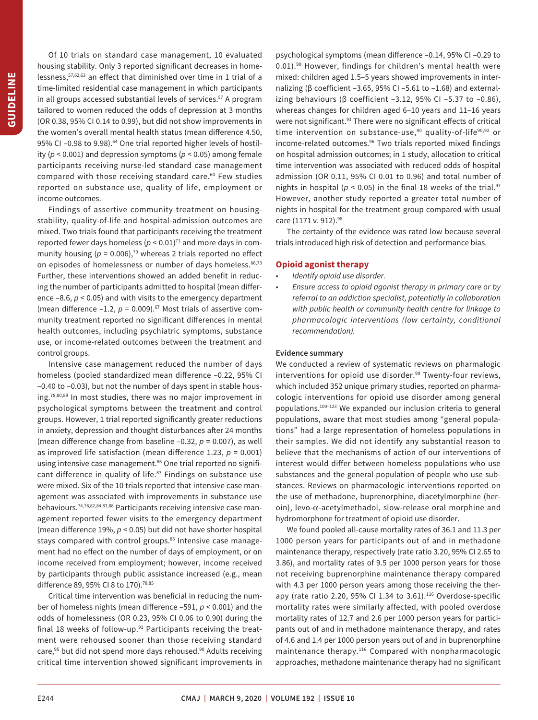lessness[,57](#page-11-6)[,62](#page-11-14)[,63](#page-11-15) an efect that diminished over time in 1 trial of a Of 10 trials on standard case management, 10 evaluated housing stability. Only 3 reported significant decreases in hometime-limited residential case management in which participants in all groups accessed substantial levels of services.<sup>57</sup> A program tailored to women reduced the odds of depression at 3 months (OR 0.38, 95% CI 0.14 to 0.99), but did not show improvements in the women's overall mental health status (mean diference 4.50, 95% CI-0.98 to 9.98).<sup>64</sup> One trial reported higher levels of hostility (*p* < 0.001) and depression symptoms (*p* < 0.05) among female participants receiving nurse-led standard case management compared with those receiving standard care.<sup>60</sup> Few studies reported on substance use, quality of life, employment or income outcomes.

 health outcomes, including psychiatric symptoms, substance Findings of assertive community treatment on housingstability, quality-of-life and hospital-admission outcomes are mixed. Two trials found that participants receiving the treatment reported fewer days homeless  $(p < 0.01)^{71}$  and more days in community housing ( $p = 0.006$ ),<sup>70</sup> whereas 2 trials reported no effect on episodes of homelessness or number of days homeless.<sup>66,73</sup> Further, these interventions showed an added benefit in reducing the number of participants admitted to hospital (mean diference –8.6, *p* < 0.05) and with visits to the emergency department (mean difference  $-1.2$ ,  $p = 0.009$ ).<sup>67</sup> Most trials of assertive community treatment reported no significant diferences in mental use, or income-related outcomes between the treatment and control groups.

Intensive case management reduced the number of days homeless (pooled standardized mean diference –0.22, 95% CI –0.40 to –0.03), but not the number of days spent in stable housing[.78,](#page-11-20)[80](#page-11-21)[,89](#page-11-11) In most studies, there was no major improvement in psychological symptoms between the treatment and control groups. However, 1 trial reported significantly greater reductions in anxiety, depression and thought disturbances after 24 months (mean diference change from baseline –0.32, *p* = 0.007), as well as improved life satisfaction (mean difference 1.23,  $p = 0.001$ ) using intensive case management.<sup>86</sup> One trial reported no significant difference in quality of life.<sup>83</sup> Findings on substance use were mixed. Six of the 10 trials reported that intensive case management was associated with improvements in substance use behaviours[.74,](#page-11-10)[78,](#page-11-20)[82](#page-11-24),[84](#page-11-25)[,87](#page-11-26)[,88](#page-11-27) Participants receiving intensive case management reported fewer visits to the emergency department (mean diference 19%, *p* < 0.05) but did not have shorter hospital stays compared with control groups.<sup>85</sup> Intensive case management had no efect on the number of days of employment, or on income received from employment; however, income received by participants through public assistance increased (e.g., mean difference 89, 95% CI 8 to 170).<sup>78,85</sup>

 critical time intervention showed significant improvements in Critical time intervention was beneficial in reducing the number of homeless nights (mean diference –591, *p* < 0.001) and the odds of homelessness (OR 0.23, 95% CI 0.06 to 0.90) during the final 18 weeks of follow-up. $91$  Participants receiving the treatment were rehoused sooner than those receiving standard care,<sup>95</sup> but did not spend more days rehoused.<sup>90</sup> Adults receiving psychological symptoms (mean diference –0.14, 95% CI –0.29 to 0.01).<sup>90</sup> However, findings for children's mental health were mixed: children aged 1.5–5 years showed improvements in internalizing (β coeficient –3.65, 95% CI –5.61 to –1.68) and externalizing behaviours ( $β$  coefficient -3.12, 95% CI -5.37 to -0.86), whereas changes for children aged 6–10 years and 11–16 years were not significant.<sup>93</sup> There were no significant effects of critical time intervention on substance-use,<sup>[90](#page-11-12)</sup> quality-of-life<sup>90,[92](#page-11-31)</sup> or income-related outcomes.<sup>96</sup> Two trials reported mixed findings on hospital admission outcomes; in 1 study, allocation to critical time intervention was associated with reduced odds of hospital admission (OR 0.11, 95% CI 0.01 to 0.96) and total number of nights in hospital ( $p < 0.05$ ) in the final 18 weeks of the trial.<sup>97</sup> However, another study reported a greater total number of nights in hospital for the treatment group compared with usual care (1171 v. 912).<sup>98</sup>

The certainty of the evidence was rated low because several trials introduced high risk of detection and performance bias.

## **Opioid agonist therapy**

- *Identify opioid use disorder.*
- *Ensure access to opioid agonist therapy in primary care or by referral to an addiction specialist, potentially in collaboration with public health or community health centre for linkage to pharmacologic interventions (low certainty, conditional recommendation).*

#### **Evidence summary**

We conducted a review of systematic reviews on pharmalogic interventions for opioid use disorder.<sup>99</sup> Twenty-four reviews, which included 352 unique primary studies, reported on pharmacologic interventions for opioid use disorder among general populations.[100–](#page-12-3)[123](#page-12-4) We expanded our inclusion criteria to general populations, aware that most studies among "general populations" had a large representation of homeless populations in their samples. We did not identify any substantial reason to believe that the mechanisms of action of our interventions of interest would differ between homeless populations who use substances and the general population of people who use substances. Reviews on pharmacologic interventions reported on the use of methadone, buprenorphine, diacetylmorphine (heroin), levo-α-acetylmethadol, slow-release oral morphine and hydromorphone for treatment of opioid use disorder.

We found pooled all-cause mortality rates of 36.1 and 11.3 per 1000 person years for participants out of and in methadone maintenance therapy, respectively (rate ratio 3.20, 95% CI 2.65 to 3.86), and mortality rates of 9.5 per 1000 person years for those not receiving buprenorphine maintenance therapy compared with 4.3 per 1000 person years among those receiving the therapy (rate ratio 2.20, 95% CI 1.34 to 3.61).<sup>116</sup> Overdose-specific mortality rates were similarly affected, with pooled overdose mortality rates of 12.7 and 2.6 per 1000 person years for participants out of and in methadone maintenance therapy, and rates of 4.6 and 1.4 per 1000 person years out of and in buprenorphine maintenance therapy.[116](#page-12-5) Compared with nonpharmacologic approaches, methadone maintenance therapy had no significant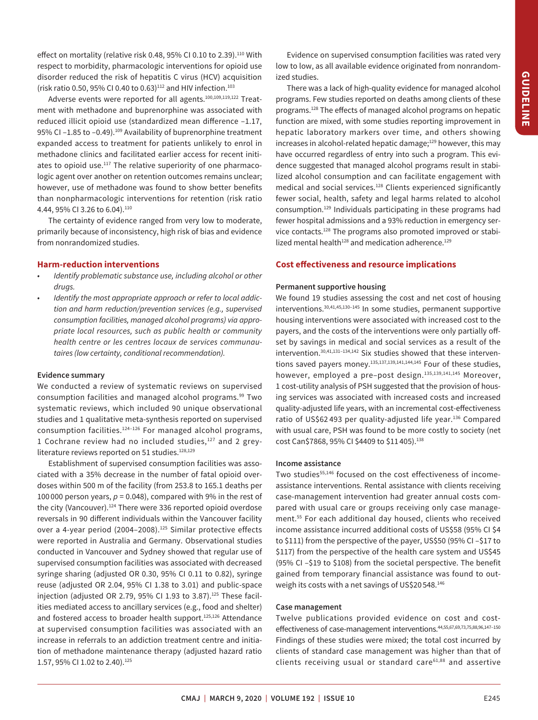effect on mortality (relative risk 0.48, 95% CI 0.10 to 2.39).<sup>110</sup> With respect to morbidity, pharmacologic interventions for opioid use disorder reduced the risk of hepatitis C virus (HCV) acquisition (risk ratio 0.50, 95% CI 0.40 to 0.63)<sup>112</sup> and HIV infection.<sup>103</sup>

Adverse events were reported for all agents[.100](#page-12-3),[109](#page-12-9),[119,](#page-12-10)[122](#page-12-11) Treatment with methadone and buprenorphine was associated with reduced illicit opioid use (standardized mean diference –1.17, 95% CI-1.85 to -0.49).<sup>109</sup> Availability of buprenorphine treatment expanded access to treatment for patients unlikely to enrol in methadone clinics and facilitated earlier access for recent initiates to opioid use. $117$  The relative superiority of one pharmacologic agent over another on retention outcomes remains unclear; however, use of methadone was found to show better benefits than nonpharmacologic interventions for retention (risk ratio 4.44, 95% CI 3.26 to 6.04).<sup>110</sup>

The certainty of evidence ranged from very low to moderate, primarily because of inconsistency, high risk of bias and evidence from nonrandomized studies.

# **Harm-reduction interventions**

- *Identify problematic substance use, including alcohol or other drugs.*
- *Identify the most appropriate approach or refer to local addiction and harm reduction/prevention services (e.g., supervised consumption facilities, managed alcohol programs) via appropriate local resources, such as public health or community health centre or les centres locaux de services communautaires (low certainty, conditional recommendation).*

#### **Evidence summary**

 systematic reviews, which included 90 unique observational We conducted a review of systematic reviews on supervised consumption facilities and managed alcohol programs.<sup>99</sup> Two studies and 1 qualitative meta-synthesis reported on supervised consumption facilities.[124](#page-12-12)–[126](#page-12-13) For managed alcohol programs, 1 Cochrane review had no included studies,<sup>[127](#page-12-14)</sup> and 2 grey-literature reviews reported on 51 studies.<sup>[128,](#page-12-15)129</sup>

 ciated with a 35% decrease in the number of fatal opioid over-Establishment of supervised consumption facilities was assodoses within 500 m of the facility (from 253.8 to 165.1 deaths per 100 $000$  person years,  $p = 0.048$ ), compared with 9% in the rest of the city (Vancouver).<sup>124</sup> There were 336 reported opioid overdose reversals in 90 diferent individuals within the Vancouver facility over a 4-year period (2004-2008).<sup>125</sup> Similar protective effects were reported in Australia and Germany. Observational studies conducted in Vancouver and Sydney showed that regular use of supervised consumption facilities was associated with decreased syringe sharing (adjusted OR 0.30, 95% CI 0.11 to 0.82), syringe reuse (adjusted OR 2.04, 95% CI 1.38 to 3.01) and public-space injection (adjusted OR 2.79, 95% CI 1.93 to 3.87). $125$  These facilities mediated access to ancillary services (e.g., food and shelter) and fostered access to broader health support.<sup>125,126</sup> Attendance at supervised consumption facilities was associated with an increase in referrals to an addiction treatment centre and initiation of methadone maintenance therapy (adjusted hazard ratio 1.57, 95% CI 1.02 to 2.40).<sup>125</sup>

Evidence on supervised consumption facilities was rated very low to low, as all available evidence originated from nonrandomized studies.

There was a lack of high-quality evidence for managed alcohol programs. Few studies reported on deaths among clients of these programs.<sup>128</sup> The effects of managed alcohol programs on hepatic function are mixed, with some studies reporting improvement in hepatic laboratory markers over time, and others showing increases in alcohol-related hepatic damage;<sup>129</sup> however, this may have occurred regardless of entry into such a program. This evidence suggested that managed alcohol programs result in stabilized alcohol consumption and can facilitate engagement with medical and social services.<sup>128</sup> Clients experienced significantly fewer social, health, safety and legal harms related to alcohol consumption[.129](#page-12-16) Individuals participating in these programs had fewer hospital admissions and a 93% reduction in emergency ser-vice contacts.<sup>[128](#page-12-15)</sup> The programs also promoted improved or stabilized mental health<sup>128</sup> and medication adherence.<sup>129</sup>

# **Cost efectiveness and resource implications**

#### **Permanent supportive housing**

ratio of US\$62493 per quality-adjusted life year.<sup>136</sup> Compared We found 19 studies assessing the cost and net cost of housing interventions[.30,](#page-10-18)[41](#page-10-21),[45](#page-10-26),[130–](#page-12-18)[145](#page-12-19) In some studies, permanent supportive housing interventions were associated with increased cost to the payers, and the costs of the interventions were only partially offset by savings in medical and social services as a result of the intervention.[30](#page-10-18),[41,](#page-10-21)[131](#page-12-20)–[134,](#page-12-21)[142](#page-12-19) Six studies showed that these interven-tions saved payers money.<sup>135,[137,](#page-12-23)[139,](#page-12-24)[141](#page-12-25),144,145</sup> Four of these studies, however, employed a pre-post design.<sup>135,[139,](#page-12-24)[141](#page-12-25),145</sup> Moreover, 1 cost-utility analysis of PSH suggested that the provision of housing services was associated with increased costs and increased quality-adjusted life years, with an incremental cost-efectiveness with usual care, PSH was found to be more costly to society (net cost Can\$7868, 95% CI \$4409 to \$11 405)[.138](#page-12-27) 

#### **Income assistance**

Two studies<sup>55,146</sup> focused on the cost effectiveness of incomeassistance interventions. Rental assistance with clients receiving case-management intervention had greater annual costs compared with usual care or groups receiving only case management.[55](#page-11-4) For each additional day housed, clients who received income assistance incurred additional costs of US\$58 (95% CI \$4 to \$111) from the perspective of the payer, US\$50 (95% CI –\$17 to \$117) from the perspective of the health care system and US\$45 (95% CI –\$19 to \$108) from the societal perspective. The benefit gained from temporary financial assistance was found to outweigh its costs with a net savings of US\$20 548[.146](#page-12-19) 

#### **Case management**

Twelve publications provided evidence on cost and cost-effectiveness of case-management interventions.<sup>44,[55,](#page-11-4)[67](#page-11-19)[,69](#page-11-18)[,73,](#page-11-9)[75,](#page-11-32)[88,](#page-11-27)[96,](#page-11-13)[147](#page-13-1)-[150](#page-13-2)</sup> Findings of these studies were mixed; the total cost incurred by clients of standard case management was higher than that of clients receiving usual or standard car[e61](#page-11-33)[,88](#page-11-27) and assertive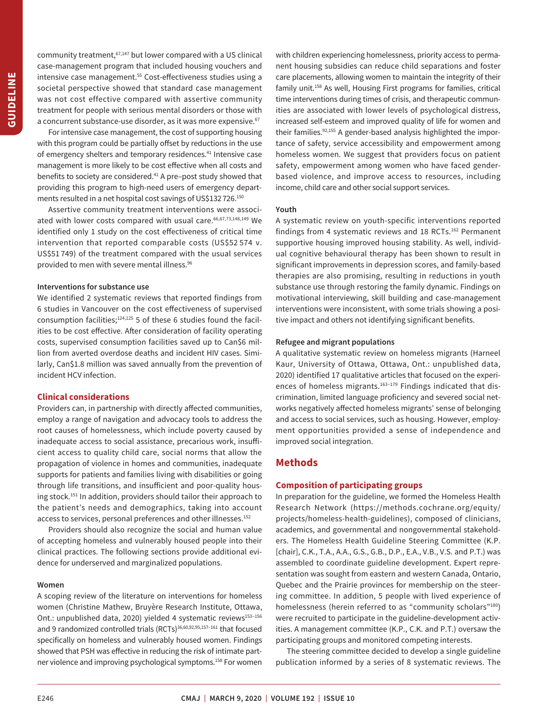community treatment,<sup>67,147</sup> but lower compared with a US clinical case-management program that included housing vouchers and intensive case management.<sup>55</sup> Cost-effectiveness studies using a societal perspective showed that standard case management was not cost effective compared with assertive community treatment for people with serious mental disorders or those with a concurrent substance-use disorder, as it was more expensive.<sup>67</sup>

For intensive case management, the cost of supporting housing with this program could be partially offset by reductions in the use of emergency shelters and temporary residences.<sup>41</sup> Intensive case management is more likely to be cost efective when all costs and benefits to society are considered.<sup>41</sup> A pre-post study showed that providing this program to high-need users of emergency departments resulted in a net hospital cost savings of US\$132 726.[150](#page-13-2) 

Assertive community treatment interventions were associ-ated with lower costs compared with usual care. 66,[67](#page-11-19),[73](#page-11-9),[148](#page-13-3)[,149](#page-13-4) We identified only 1 study on the cost effectiveness of critical time intervention that reported comparable costs (US\$52 574 v. US\$51 749) of the treatment compared with the usual services provided to men with severe mental illness[.96](#page-11-13) 

# **Interventions for substance use**

We identified 2 systematic reviews that reported findings from 6 studies in Vancouver on the cost efectiveness of supervised consumption facilities; $124,125$  $124,125$  5 of these 6 studies found the facilities to be cost effective. After consideration of facility operating costs, supervised consumption facilities saved up to Can\$6 million from averted overdose deaths and incident HIV cases. Similarly, Can\$1.8 million was saved annually from the prevention of incident HCV infection.

# **Clinical considerations**

Providers can, in partnership with directly afected communities, employ a range of navigation and advocacy tools to address the root causes of homelessness, which include poverty caused by inadequate access to social assistance, precarious work, insuficient access to quality child care, social norms that allow the propagation of violence in homes and communities, inadequate supports for patients and families living with disabilities or going through life transitions, and insuficient and poor-quality housing stock.[151](#page-13-5) In addition, providers should tailor their approach to the patient's needs and demographics, taking into account access to services, personal preferences and other illnesses.<sup>152</sup>

Providers should also recognize the social and human value of accepting homeless and vulnerably housed people into their clinical practices. The following sections provide additional evidence for underserved and marginalized populations.

#### **Women**

A scoping review of the literature on interventions for homeless women (Christine Mathew, Bruyère Research Institute, Ottawa, Ont.: unpublished data, 2020) yielded 4 systematic reviews<sup>153-[156](#page-13-8)</sup> and 9 randomized controlled trials (RCTs)<sup>[36](#page-10-28)[,60,](#page-11-17)[92](#page-11-31)[,95,](#page-11-13)[157](#page-13-9)-161</sup> that focused specifically on homeless and vulnerably housed women. Findings showed that PSH was effective in reducing the risk of intimate partner violence and improving psychological symptoms.<sup>158</sup> For women with children experiencing homelessness, priority access to permanent housing subsidies can reduce child separations and foster care placements, allowing women to maintain the integrity of their family unit[.158](#page-13-11) As well, Housing First programs for families, critical time interventions during times of crisis, and therapeutic communities are associated with lower levels of psychological distress, increased self-esteem and improved quality of life for women and their families.<sup>92[,155](#page-13-12)</sup> A gender-based analysis highlighted the importance of safety, service accessibility and empowerment among homeless women. We suggest that providers focus on patient safety, empowerment among women who have faced genderbased violence, and improve access to resources, including income, child care and other social support services.

#### **Youth**

A systematic review on youth-specific interventions reported findings from 4 systematic reviews and 18 RCTs.<sup>162</sup> Permanent supportive housing improved housing stability. As well, individual cognitive behavioural therapy has been shown to result in significant improvements in depression scores, and family-based therapies are also promising, resulting in reductions in youth substance use through restoring the family dynamic. Findings on motivational interviewing, skill building and case-management interventions were inconsistent, with some trials showing a positive impact and others not identifying significant benefits.

## **Refugee and migrant populations**

A qualitative systematic review on homeless migrants (Harneel Kaur, University of Ottawa, Ottawa, Ont.: unpublished data, 2020) identified 17 qualitative articles that focused on the experiences of homeless migrants.<sup>163-179</sup> Findings indicated that discrimination, limited language proficiency and severed social networks negatively affected homeless migrants' sense of belonging and access to social services, such as housing. However, employment opportunities provided a sense of independence and improved social integration.

# **Methods**

# **Composition of participating groups**

In preparation for the guideline, we formed the Homeless Health Research Network (https://methods.cochrane.org/equity/ [projects/homeless-health-guidelines\)](https://methods.cochrane.org/equity/projects/homeless-health-guidelines), composed of clinicians, academics, and governmental and nongovernmental stakeholders. The Homeless Health Guideline Steering Committee (K.P. [chair], C.K., T.A., A.A., G.S., G.B., D.P., E.A., V.B., V.S. and P.T.) was assembled to coordinate guideline development. Expert representation was sought from eastern and western Canada, Ontario, Quebec and the Prairie provinces for membership on the steering committee. In addition, 5 people with lived experience of homelessness (herein referred to as "community scholars"<sup>180</sup>) were recruited to participate in the guideline-development activities. A management committee (K.P., C.K. and P.T.) oversaw the participating groups and monitored competing interests.

The steering committee decided to develop a single guideline publication informed by a series of 8 systematic reviews. The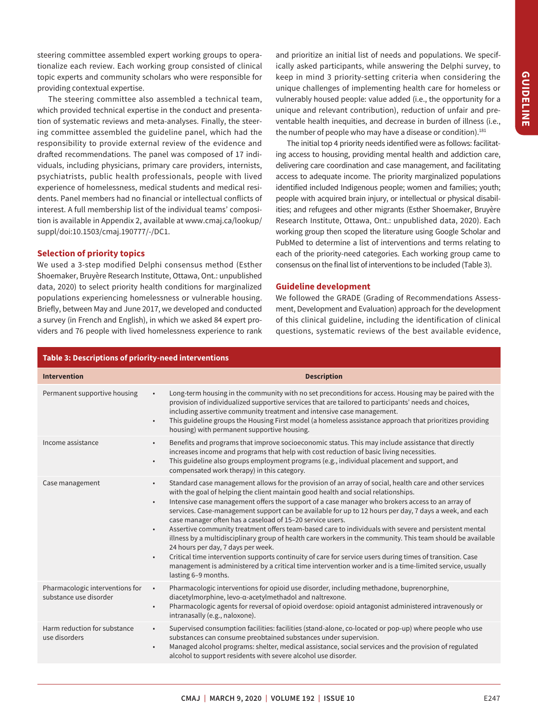steering committee assembled expert working groups to operationalize each review. Each working group consisted of clinical topic experts and community scholars who were responsible for providing contextual expertise.

The steering committee also assembled a technical team, which provided technical expertise in the conduct and presentation of systematic reviews and meta-analyses. Finally, the steering committee assembled the guideline panel, which had the responsibility to provide external review of the evidence and drafed recommendations. The panel was composed of 17 individuals, including physicians, primary care providers, internists, psychiatrists, public health professionals, people with lived experience of homelessness, medical students and medical residents. Panel members had no financial or intellectual conflicts of interest. A full membership list of the individual teams' composition is available in Appendix 2, available at www.cmaj.ca/lookup/ [suppl/doi:10.1503/cmaj.190777/-/DC1.](www.cmaj.ca/lookup/suppl/doi:10.1503/cmaj.190777/-/DC1)

## **Selection of priority topics**

We used a 3-step modified Delphi consensus method (Esther Shoemaker, Bruyère Research Institute, Ottawa, Ont.: unpublished data, 2020) to select priority health conditions for marginalized populations experiencing homelessness or vulnerable housing. Briefly, between May and June 2017, we developed and conducted a survey (in French and English), in which we asked 84 expert providers and 76 people with lived homelessness experience to rank and prioritize an initial list of needs and populations. We specifically asked participants, while answering the Delphi survey, to keep in mind 3 priority-setting criteria when considering the unique challenges of implementing health care for homeless or vulnerably housed people: value added (i.e., the opportunity for a unique and relevant contribution), reduction of unfair and preventable health inequities, and decrease in burden of illness (i.e., the number of people who may have a disease or condition). $181$ 

The initial top 4 priority needs identified were as follows: facilitating access to housing, providing mental health and addiction care, delivering care coordination and case management, and facilitating access to adequate income. The priority marginalized populations identified included Indigenous people; women and families; youth; people with acquired brain injury, or intellectual or physical disabilities; and refugees and other migrants (Esther Shoemaker, Bruyère Research Institute, Ottawa, Ont.: unpublished data, 2020). Each working group then scoped the literature using Google Scholar and PubMed to determine a list of interventions and terms relating to each of the priority-need categories. Each working group came to consensus on the final list of interventions to be included (Table 3).

## **Guideline development**

We followed the GRADE (Grading of Recommendations Assessment, Development and Evaluation) approach for the development of this clinical guideline, including the identification of clinical questions, systematic reviews of the best available evidence,

| Table 3: Descriptions of priority-need interventions      |                                                                                                                                                                                                                                                                                                                                                                                                                                                                                                                                                                                                                                                                                                                                                                                                                                                                                                                                                                                                                  |  |
|-----------------------------------------------------------|------------------------------------------------------------------------------------------------------------------------------------------------------------------------------------------------------------------------------------------------------------------------------------------------------------------------------------------------------------------------------------------------------------------------------------------------------------------------------------------------------------------------------------------------------------------------------------------------------------------------------------------------------------------------------------------------------------------------------------------------------------------------------------------------------------------------------------------------------------------------------------------------------------------------------------------------------------------------------------------------------------------|--|
| <b>Intervention</b>                                       | <b>Description</b>                                                                                                                                                                                                                                                                                                                                                                                                                                                                                                                                                                                                                                                                                                                                                                                                                                                                                                                                                                                               |  |
| Permanent supportive housing                              | Long-term housing in the community with no set preconditions for access. Housing may be paired with the<br>$\bullet$<br>provision of individualized supportive services that are tailored to participants' needs and choices,<br>including assertive community treatment and intensive case management.<br>This guideline groups the Housing First model (a homeless assistance approach that prioritizes providing<br>housing) with permanent supportive housing.                                                                                                                                                                                                                                                                                                                                                                                                                                                                                                                                               |  |
| Income assistance                                         | Benefits and programs that improve socioeconomic status. This may include assistance that directly<br>$\bullet$<br>increases income and programs that help with cost reduction of basic living necessities.<br>This guideline also groups employment programs (e.g., individual placement and support, and<br>$\bullet$<br>compensated work therapy) in this category.                                                                                                                                                                                                                                                                                                                                                                                                                                                                                                                                                                                                                                           |  |
| Case management                                           | Standard case management allows for the provision of an array of social, health care and other services<br>$\bullet$<br>with the goal of helping the client maintain good health and social relationships.<br>Intensive case management offers the support of a case manager who brokers access to an array of<br>$\bullet$<br>services. Case-management support can be available for up to 12 hours per day, 7 days a week, and each<br>case manager often has a caseload of 15-20 service users.<br>Assertive community treatment offers team-based care to individuals with severe and persistent mental<br>illness by a multidisciplinary group of health care workers in the community. This team should be available<br>24 hours per day, 7 days per week.<br>Critical time intervention supports continuity of care for service users during times of transition. Case<br>management is administered by a critical time intervention worker and is a time-limited service, usually<br>lasting 6-9 months. |  |
| Pharmacologic interventions for<br>substance use disorder | Pharmacologic interventions for opioid use disorder, including methadone, buprenorphine,<br>$\bullet$<br>diacetylmorphine, levo-a-acetylmethadol and naltrexone.<br>Pharmacologic agents for reversal of opioid overdose: opioid antagonist administered intravenously or<br>$\bullet$<br>intranasally (e.g., naloxone).                                                                                                                                                                                                                                                                                                                                                                                                                                                                                                                                                                                                                                                                                         |  |
| Harm reduction for substance<br>use disorders             | Supervised consumption facilities: facilities (stand-alone, co-located or pop-up) where people who use<br>$\bullet$<br>substances can consume preobtained substances under supervision.<br>Managed alcohol programs: shelter, medical assistance, social services and the provision of regulated<br>$\bullet$<br>alcohol to support residents with severe alcohol use disorder.                                                                                                                                                                                                                                                                                                                                                                                                                                                                                                                                                                                                                                  |  |
|                                                           |                                                                                                                                                                                                                                                                                                                                                                                                                                                                                                                                                                                                                                                                                                                                                                                                                                                                                                                                                                                                                  |  |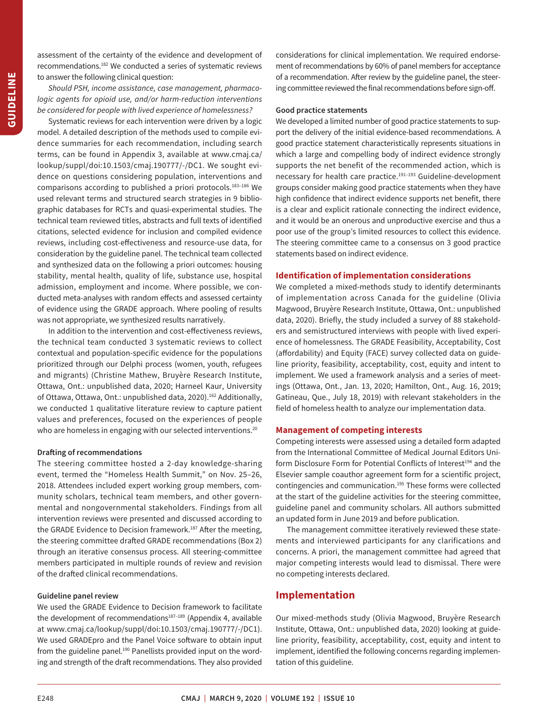assessment of the certainty of the evidence and development of recommendations.[182](#page-13-18) We conducted a series of systematic reviews to answer the following clinical question:

*Should PSH, income assistance, case management, pharmacologic agents for opioid use, and/or harm-reduction interventions be considered for people with lived experience of homelessness?* 

 dence summaries for each recommendation, including search reviews, including cost-efectiveness and resource-use data, for Systematic reviews for each intervention were driven by a logic model. A detailed description of the methods used to compile eviterms, can be found in Appendix 3, available at www.cmaj.ca/ [lookup/suppl/doi:10.1503/cmaj.190777/-/DC1](www.cmaj.ca/lookup/suppl/doi:10.1503/cmaj.190777/-/DC1). We sought evidence on questions considering population, interventions and comparisons according to published a priori protocols.<sup>[183](#page-13-19)-186</sup> We used relevant terms and structured search strategies in 9 bibliographic databases for RCTs and quasi-experimental studies. The technical team reviewed titles, abstracts and full texts of identified citations, selected evidence for inclusion and compiled evidence consideration by the guideline panel. The technical team collected and synthesized data on the following a priori outcomes: housing stability, mental health, quality of life, substance use, hospital admission, employment and income. Where possible, we conducted meta-analyses with random efects and assessed certainty of evidence using the GRADE approach. Where pooling of results was not appropriate, we synthesized results narratively.

In addition to the intervention and cost-efectiveness reviews, the technical team conducted 3 systematic reviews to collect contextual and population-specific evidence for the populations prioritized through our Delphi process (women, youth, refugees and migrants) (Christine Mathew, Bruyère Research Institute, Ottawa, Ont.: unpublished data, 2020; Harneel Kaur, University of Ottawa, Ottawa, Ont.: unpublished data, 2020).<sup>[162](#page-13-13)</sup> Additionally, we conducted 1 qualitative literature review to capture patient values and preferences, focused on the experiences of people who are homeless in engaging with our selected interventions.<sup>20</sup>

## **Drafing of recommendations**

 through an iterative consensus process. All steering-committee The steering committee hosted a 2-day knowledge-sharing event, termed the "Homeless Health Summit," on Nov. 25–26, 2018. Attendees included expert working group members, community scholars, technical team members, and other governmental and nongovernmental stakeholders. Findings from all intervention reviews were presented and discussed according to the GRADE Evidence to Decision framework.<sup>[187](#page-13-21)</sup> After the meeting, the steering committee drafted GRADE recommendations (Box 2) members participated in multiple rounds of review and revision of the drafed clinical recommendations.

#### **Guideline panel review**

We used the GRADE Evidence to Decision framework to facilitate the development of recommendations<sup>187-189</sup> (Appendix 4, available at www.cmaj.ca/lookup/suppl/doi:10.1503/cmaj.190777/-/DC1). We used GRADEpro and the Panel Voice sofware to obtain input from the guideline panel.<sup>190</sup> Panellists provided input on the wording and strength of the draft recommendations. They also provided considerations for clinical implementation. We required endorsement of recommendations by 60% of panel members for acceptance of a recommendation. After review by the guideline panel, the steering committee reviewed the final recommendations before sign-off.

# **Good practice statements**

We developed a limited number of good practice statements to support the delivery of the initial evidence-based recommendations. A good practice statement characteristically represents situations in which a large and compelling body of indirect evidence strongly supports the net benefit of the recommended action, which is necessary for health care practice.<sup>191-[193](#page-13-0)</sup> Guideline-development groups consider making good practice statements when they have high confidence that indirect evidence supports net benefit, there is a clear and explicit rationale connecting the indirect evidence, and it would be an onerous and unproductive exercise and thus a poor use of the group's limited resources to collect this evidence. The steering committee came to a consensus on 3 good practice statements based on indirect evidence.

#### **Identification of implementation considerations**

We completed a mixed-methods study to identify determinants of implementation across Canada for the guideline (Olivia Magwood, Bruyère Research Institute, Ottawa, Ont.: unpublished data, 2020). Briefly, the study included a survey of 88 stakeholders and semistructured interviews with people with lived experience of homelessness. The GRADE Feasibility, Acceptability, Cost (affordability) and Equity (FACE) survey collected data on guideline priority, feasibility, acceptability, cost, equity and intent to implement. We used a framework analysis and a series of meetings (Ottawa, Ont., Jan. 13, 2020; Hamilton, Ont., Aug. 16, 2019; Gatineau, Que., July 18, 2019) with relevant stakeholders in the field of homeless health to analyze our implementation data.

## **Management of competing interests**

Competing interests were assessed using a detailed form adapted from the International Committee of Medical Journal Editors Uniform Disclosure Form for Potential Conflicts of Interest<sup>194</sup> and the Elsevier sample coauthor agreement form for a scientific project, contingencies and communication.<sup>195</sup> These forms were collected at the start of the guideline activities for the steering committee, guideline panel and community scholars. All authors submitted an updated form in June 2019 and before publication.

The management committee iteratively reviewed these statements and interviewed participants for any clarifications and concerns. A priori, the management committee had agreed that major competing interests would lead to dismissal. There were no competing interests declared.

# **Implementation**

Our mixed-methods study (Olivia Magwood, Bruyère Research Institute, Ottawa, Ont.: unpublished data, 2020) looking at guideline priority, feasibility, acceptability, cost, equity and intent to implement, identified the following concerns regarding implementation of this guideline.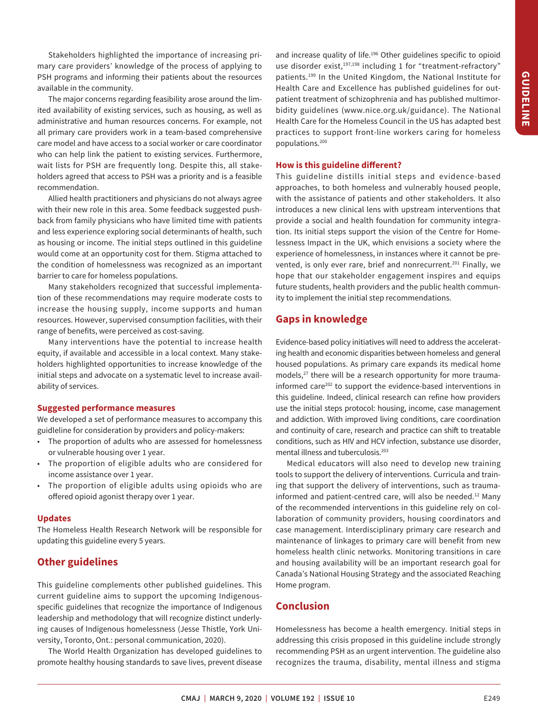Stakeholders highlighted the importance of increasing primary care providers' knowledge of the process of applying to PSH programs and informing their patients about the resources available in the community.

ċ The major concerns regarding feasibility arose around the limited availability of existing services, such as housing, as well as administrative and human resources concerns. For example, not all primary care providers work in a team-based comprehensive care model and have access to a social worker or care coordinator who can help link the patient to existing services. Furthermore, wait lists for PSH are frequently long. Despite this, all stakeholders agreed that access to PSH was a priority and is a feasible recommendation.

Allied health practitioners and physicians do not always agree with their new role in this area. Some feedback suggested pushback from family physicians who have limited time with patients and less experience exploring social determinants of health, such as housing or income. The initial steps outlined in this guideline would come at an opportunity cost for them. Stigma attached to the condition of homelessness was recognized as an important barrier to care for homeless populations.

Many stakeholders recognized that successful implementation of these recommendations may require moderate costs to increase the housing supply, income supports and human resources. However, supervised consumption facilities, with their range of benefits, were perceived as cost-saving.

Many interventions have the potential to increase health equity, if available and accessible in a local context. Many stakeholders highlighted opportunities to increase knowledge of the initial steps and advocate on a systematic level to increase availability of services.

## **Suggested performance measures**

We developed a set of performance measures to accompany this guidleline for consideration by providers and policy-makers:

- The proportion of adults who are assessed for homelessness or vulnerable housing over 1 year.
- The proportion of eligible adults who are considered for income assistance over 1 year.
- The proportion of eligible adults using opioids who are offered opioid agonist therapy over 1 year.

#### **Updates**

The Homeless Health Research Network will be responsible for updating this guideline every 5 years.

# **Other guidelines**

This guideline complements other published guidelines. This current guideline aims to support the upcoming Indigenousspecific guidelines that recognize the importance of Indigenous leadership and methodology that will recognize distinct underlying causes of Indigenous homelessness (Jesse Thistle, York University, Toronto, Ont.: personal communication, 2020).

The World Health Organization has developed guidelines to promote healthy housing standards to save lives, prevent disease and increase quality of life.<sup>196</sup> Other guidelines specific to opioid use disorder exist,<sup>[197,](#page-14-2)198</sup> including 1 for "treatment-refractory" patients.[199](#page-14-4) In the United Kingdom, the National Institute for Health Care and Excellence has published guidelines for outpatient treatment of schizophrenia and has published multimorbidity guidelines (www.nice.org.uk/guidance). The National Health Care for the Homeless Council in the US has adapted best practices to support front-line workers caring for homeless populations[.200](#page-14-5) 

# **How is this guideline diferent?**

This guideline distills initial steps and evidence-based approaches, to both homeless and vulnerably housed people, with the assistance of patients and other stakeholders. It also introduces a new clinical lens with upstream interventions that provide a social and health foundation for community integration. Its initial steps support the vision of the Centre for Homelessness Impact in the UK, which envisions a society where the experience of homelessness, in instances where it cannot be pre-vented, is only ever rare, brief and nonrecurrent.<sup>[201](#page-14-6)</sup> Finally, we hope that our stakeholder engagement inspires and equips future students, health providers and the public health community to implement the initial step recommendations.

# **Gaps in knowledge**

Evidence-based policy initiatives will need to address the accelerating health and economic disparities between homeless and general housed populations. As primary care expands its medical home models,<sup>27</sup> there will be a research opportunity for more traumainformed care<sup>202</sup> to support the evidence-based interventions in this guideline. Indeed, clinical research can refine how providers use the initial steps protocol: housing, income, case management and addiction. With improved living conditions, care coordination and continuity of care, research and practice can shift to treatable conditions, such as HIV and HCV infection, substance use disorder, mental illness and tuberculosis[.203](#page-14-8) 

Medical educators will also need to develop new training tools to support the delivery of interventions. Curricula and training that support the delivery of interventions, such as traumainformed and patient-centred care, will also be needed.<sup>12</sup> Many of the recommended interventions in this guideline rely on collaboration of community providers, housing coordinators and case management. Interdisciplinary primary care research and maintenance of linkages to primary care will benefit from new homeless health clinic networks. Monitoring transitions in care and housing availability will be an important research goal for Canada's National Housing Strategy and the associated Reaching Home program.

# **Conclusion**

Homelessness has become a health emergency. Initial steps in addressing this crisis proposed in this guideline include strongly recommending PSH as an urgent intervention. The guideline also recognizes the trauma, disability, mental illness and stigma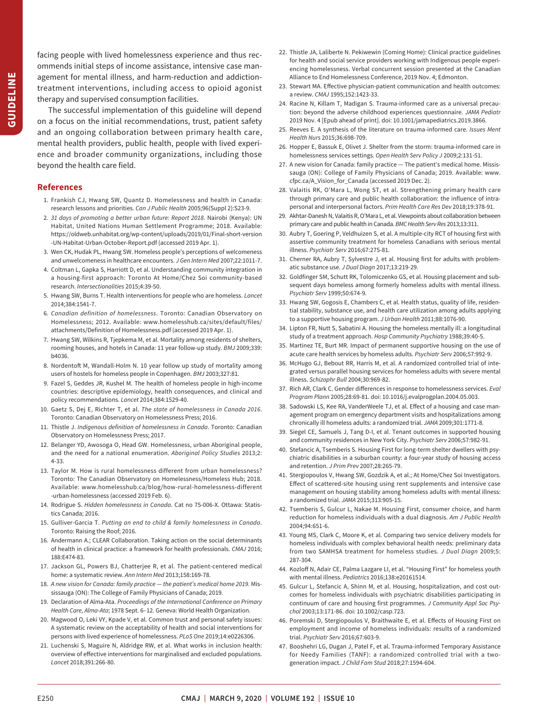**GUIDELINE GUIDELINE**

facing people with lived homelessness experience and thus recommends initial steps of income assistance, intensive case management for mental illness, and harm-reduction and addictiontreatment interventions, including access to opioid agonist therapy and supervised consumption facilities.

The successful implementation of this guideline will depend on a focus on the initial recommendations, trust, patient safety and an ongoing collaboration between primary health care, mental health providers, public health, people with lived experience and broader community organizations, including those beyond the health care field.

# <span id="page-10-0"></span>**References**

- 1. Frankish CJ, Hwang SW, Quantz D. Homelessness and health in Canada: research lessons and priorities. *Can J Public Health* 2005;96(Suppl 2):S23-9.
- <span id="page-10-1"></span>2. *31 days of promoting a better urban future: Report 2018*. Nairobi (Kenya): UN Habitat, United Nations Human Settlement Programme; 2018. Available: https://oldweb.unhabitat.org/wp-content/uploads/2019/01/Final-short-version [-UN-Habitat-Urban-October-Report.pdf](https://oldweb.unhabitat.org/wp-content/uploads/2019/01/Final-short-version -UN-Habitat-Urban-October-Report.pdf) (accessed 2019 Apr. 1).
- <span id="page-10-2"></span>3. Wen CK, Hudak PL, Hwang SW. Homeless people's perceptions of welcomeness and unwelcomeness in healthcare encounters. *J Gen Intern Med* 2007;22:1011-7.
- <span id="page-10-3"></span>4. Coltman L, Gapka S, Harriott D, et al. Understanding community integration in a housing-first approach: Toronto At Home/Chez Soi community-based research. *Intersectionalities* 2015;4:39-50.
- <span id="page-10-4"></span>5. Hwang SW, Burns T. Health interventions for people who are homeless. *Lancet*  2014;384:1541-7.
- <span id="page-10-5"></span>6. *Canadian definition of homelessness*. Toronto: Canadian Observatory on Homelessness; 2012. Available: www.homelesshub.ca/sites/default/files/ [attachments/Definition of Homelessness.pdf](www.homelesshub.ca/sites/default/files/attachments/Definition of Homelessness.pdf) (accessed 2019 Apr. 1).
- <span id="page-10-6"></span>7. Hwang SW, Wilkins R, Tjepkema M, et al. Mortality among residents of shelters, rooming houses, and hotels in Canada: 11 year follow-up study. *BMJ* 2009;339: b4036.
- <span id="page-10-7"></span>8. Nordentoft M, Wandall-Holm N. 10 year follow up study of mortality among users of hostels for homeless people in Copenhagen. *BMJ* 2003;327:81.
- <span id="page-10-8"></span>9. Fazel S, Geddes JR, Kushel M. The health of homeless people in high-income countries: descriptive epidemiology, health consequences, and clinical and policy recommendations. *Lancet* 2014;384:1529-40.
- <span id="page-10-9"></span>10. Gaetz S, Dej E, Richter T, et al. *The state of homelessness in Canada 2016*. Toronto: Canadian Observatory on Homelessness Press; 2016.
- <span id="page-10-15"></span>11. Thistle J. *Indigenous definition of homelessness in Canada*. Toronto: Canadian Observatory on Homelessness Press; 2017.
- <span id="page-10-16"></span>12. Belanger YD, Awosoga O, Head GW. Homelessness, urban Aboriginal people, and the need for a national enumeration. *Aboriginal Policy Studies* 2013;2: 4-33.
- <span id="page-10-10"></span>13. Taylor M. How is rural homelessness different from urban homelessness? Toronto: The Canadian Observatory on Homelessness/Homeless Hub; 2018. Available: www.homelesshub.ca/blog/how-rural-homelessness-different [-urban-homelessness](www.homelesshub.ca/blog/how-rural-homelessness-different-urban-homelessness) (accessed 2019 Feb. 6).
- <span id="page-10-11"></span>14. Rodrigue S. *Hidden homelessness in Canada*. Cat no 75-006-X. Ottawa: Statistics Canada; 2016.
- <span id="page-10-12"></span>15. Gulliver-Garcia T. *Putting an end to child & family homelessness in Canada*. Toronto: Raising the Roof; 2016.
- <span id="page-10-13"></span>16. Andermann A.; CLEAR Collaboration. Taking action on the social determinants of health in clinical practice: a framework for health professionals. *CMAJ* 2016; 188:E474-83.
- <span id="page-10-14"></span>17. Jackson GL, Powers BJ, Chatterjee R, et al. The patient-centered medical home: a systematic review. *Ann Intern Med* 2013;158:169-78.
- 18. *A new vision for Canada: family practice the patient's medical home 2019.* Mississauga (ON): The College of Family Physicians of Canada; 2019.
- 19. Declaration of Alma-Ata. *Proceedings of the International Conference on Primary Health Care, Alma-Ata*; 1978 Sept. 6–12. Geneva: World Health Organization.
- 20. Magwood O, Leki VY, Kpade V, et al. Common trust and personal safety issues: A systematic review on the acceptability of health and social interventions for persons with lived experience of homelessness. *PLoS One* 2019;14:e0226306.
- 21. Luchenski S, Maguire N, Aldridge RW, et al. What works in inclusion health: overview of efective interventions for marginalised and excluded populations. *Lancet* 2018;391:266-80.
- <span id="page-10-17"></span>22. Thistle JA, Laliberte N. Pekiwewin (Coming Home): Clinical practice guidelines for health and social service providers working with Indigenous people experiencing homelessness. Verbal concurrent session presented at the Canadian Alliance to End Homelessness Conference, 2019 Nov. 4; Edmonton.
- 23. Stewart MA. Efective physician-patient communication and health outcomes: a review. *CMAJ* 1995;152:1423-33.
- 24. Racine N, Killam T, Madigan S. Trauma-informed care as a universal precaution: beyond the adverse childhood experiences questionnaire. *JAMA Pediatr*  2019 Nov. 4 [Epub ahead of print]. doi: 10.1001/jamapediatrics.2019.3866.
- 25. Reeves E. A synthesis of the literature on trauma-informed care. *Issues Ment Health Nurs* 2015;36:698-709.
- 26. Hopper E, Bassuk E, Olivet J. Shelter from the storm: trauma-informed care in homelessness services settings. *Open Health Serv Policy J* 2009;2:131-51.
- <span id="page-10-29"></span>27. A new vision for Canada: family practice — The patient's medical home. Mississauga (ON): College of Family Physicians of Canada; 2019. Available: [www.](www.cfpc.ca/A_Vision_for_Canada)  [cfpc.ca/A\\_Vision\\_for\\_Canada](www.cfpc.ca/A_Vision_for_Canada) (accessed 2019 Dec. 2).
- 28. Valaitis RK, O'Mara L, Wong ST, et al. Strengthening primary health care through primary care and public health collaboration: the influence of intrapersonal and interpersonal factors. *Prim Health Care Res Dev* 2018;19:378-91.
- $\ddot{\phantom{0}}$ 29. Akhtar-Danesh N, Valaitis R, O'Mara L, et al. Viewpoints about collaboration between primary care and public health in Canada. *BMC Health Serv Res* 2013;13:311.
- <span id="page-10-18"></span>30. Aubry T, Goering P, Veldhuizen S, et al. A multiple-city RCT of housing first with assertive community treatment for homeless Canadians with serious mental illness. *Psychiatr Serv* 2016;67:275-81.
- <span id="page-10-22"></span>31. Cherner RA, Aubry T, Sylvestre J, et al. Housing first for adults with problematic substance use. *J Dual Diagn* 2017;13:219-29.
- 32. Goldfinger SM, Schutt RK, Tolomiczenko GS, et al. Housing placement and subsequent days homeless among formerly homeless adults with mental illness. *Psychiatr Serv* 1999;50:674-9.
- <span id="page-10-23"></span>33. Hwang SW, Gogosis E, Chambers C, et al. Health status, quality of life, residential stability, substance use, and health care utilization among adults applying to a supportive housing program. *J Urban Health* 2011;88:1076-90.
- <span id="page-10-24"></span>34. Lipton FR, Nutt S, Sabatini A. Housing the homeless mentally ill: a longitudinal study of a treatment approach. *Hosp Community Psychiatry* 1988;39:40-5.
- 35. Martinez TE, Burt MR. Impact of permanent supportive housing on the use of acute care health services by homeless adults. *Psychiatr Serv* 2006;57:992-9.
- <span id="page-10-28"></span>36. McHugo GJ, Bebout RR, Harris M, et al. A randomized controlled trial of integrated versus parallel housing services for homeless adults with severe mental illness. *Schizophr Bull* 2004;30:969-82.
- 37. Rich AR, Clark C. Gender diferences in response to homelessness services. *Eval Program Plann* 2005;28:69-81. doi: 10.1016/j.evalprogplan.2004.05.003.
- <span id="page-10-27"></span>38. Sadowski LS, Kee RA, VanderWeele TJ, et al. Efect of a housing and case management program on emergency department visits and hospitalizations among chronically ill homeless adults: a randomized trial. *JAMA* 2009;301:1771-8.
- 39. Siegel CE, Samuels J, Tang D-I, et al. Tenant outcomes in supported housing and community residences in New York City. *Psychiatr Serv* 2006;57:982-91.
- <span id="page-10-20"></span>40. Stefancic A, Tsemberis S. Housing First for long-term shelter dwellers with psychiatric disabilities in a suburban county: a four-year study of housing access and retention. *J Prim Prev* 2007;28:265-79.
- <span id="page-10-21"></span> $\overline{a}$ 41. Stergiopoulos V, Hwang SW, Gozdzik A, et al.; At Home/Chez Soi Investigators. Efect of scattered-site housing using rent supplements and intensive case management on housing stability among homeless adults with mental illness: a randomized trial. *JAMA* 2015;313:905-15.
- <span id="page-10-25"></span>42. Tsemberis S, Gulcur L, Nakae M. Housing First, consumer choice, and harm reduction for homeless individuals with a dual diagnosis. *Am J Public Health*  2004;94:651-6.
- <span id="page-10-19"></span> from two SAMHSA treatment for homeless studies. *J Dual Diagn* 2009;5: 43. Young MS, Clark C, Moore K, et al. Comparing two service delivery models for homeless individuals with complex behavioral health needs: preliminary data 287-304.
- <span id="page-10-26"></span>44. Kozloff N, Adair CE, Palma Lazgare LI, et al. "Housing First" for homeless youth with mental illness. *Pediatrics* 2016;138:e20161514.
- 45. Gulcur L, Stefancic A, Shinn M, et al. Housing, hospitalization, and cost outcomes for homeless individuals with psychiatric disabilities participating in continuum of care and housing first programmes. *J Community Appl Soc Psychol* 2003;13:171-86. doi: 10.1002/casp.723.
- 46. Poremski D, Stergiopoulos V, Braithwaite E, et al. Efects of Housing First on employment and income of homeless individuals: results of a randomized trial. *Psychiatr Serv* 2016;67:603-9.
- 47. Booshehri LG, Dugan J, Patel F, et al. Trauma-informed Temporary Assistance for Needy Families (TANF): a randomized controlled trial with a twogeneration impact. *J Child Fam Stud* 2018;27:1594-604.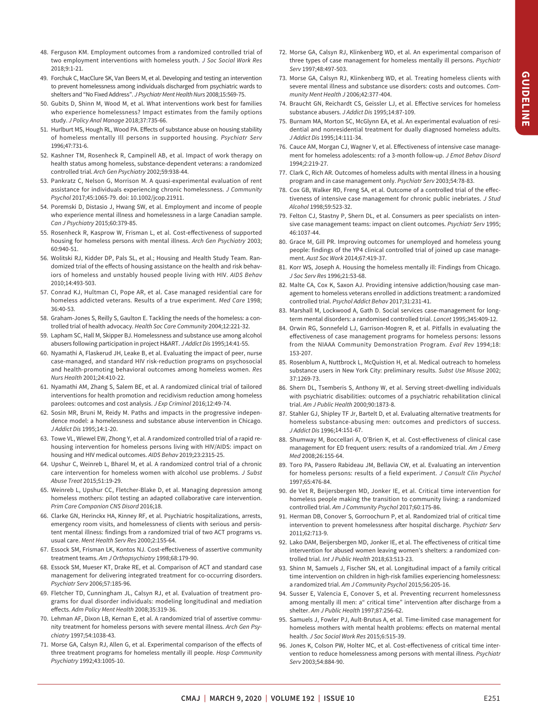- <span id="page-11-1"></span>48. Ferguson KM. Employment outcomes from a randomized controlled trial of two employment interventions with homeless youth. *J Soc Social Work Res*  2018;9:1-21.
- 49. Forchuk C, MacClure SK, Van Beers M, et al. Developing and testing an intervention to prevent homelessness among individuals discharged from psychiatric wards to shelters and "No Fixed Address". *J Psychiatr Ment Health Nurs* 2008;15:569-75.
- 50. Gubits D, Shinn M, Wood M, et al. What interventions work best for families who experience homelessness? Impact estimates from the family options study. *J Policy Anal Manage* 2018;37:735-66.
- <span id="page-11-5"></span> 51. Hurlburt MS, Hough RL, Wood PA. Efects of substance abuse on housing stability of homeless mentally Ill persons in supported housing. *Psychiatr Serv*  1996;47:731-6.
- <span id="page-11-3"></span>52. Kashner TM, Rosenheck R, Campinell AB, et al. Impact of work therapy on health status among homeless, substance-dependent veterans: a randomized controlled trial. *Arch Gen Psychiatry* 2002;59:938-44.
- assistance for individuals experiencing chronic homelessness. *J Community*  53. Pankratz C, Nelson G, Morrison M. A quasi-experimental evaluation of rent *Psychol* 2017;45:1065-79. doi: 10.1002/jcop.21911.
- <span id="page-11-2"></span>54. Poremski D, Distasio J, Hwang SW, et al. Employment and income of people who experience mental illness and homelessness in a large Canadian sample. *Can J Psychiatry* 2015;60:379-85.
- <span id="page-11-4"></span> 55. Rosenheck R, Kasprow W, Frisman L, et al. Cost-efectiveness of supported housing for homeless persons with mental illness. *Arch Gen Psychiatry* 2003; 60:940-51.
- <span id="page-11-0"></span>56. Wolitski RJ, Kidder DP, Pals SL, et al.; Housing and Health Study Team. Randomized trial of the efects of housing assistance on the health and risk behaviors of homeless and unstably housed people living with HIV. *AIDS Behav*  2010;14:493-503.
- <span id="page-11-6"></span>57. Conrad KJ, Hultman CI, Pope AR, et al. Case managed residential care for homeless addicted veterans. Results of a true experiment. *Med Care* 1998; 36:40-53.
- 58. Graham-Jones S, Reilly S, Gaulton E. Tackling the needs of the homeless: a controlled trial of health advocacy. *Health Soc Care Community* 2004;12:221-32.
- 59. Lapham SC, Hall M, Skipper BJ. Homelessness and substance use among alcohol abusers following participation in project H&ART. *J Addict Dis* 1995;14:41-55.
- <span id="page-11-17"></span>60. Nyamathi A, Flaskerud JH, Leake B, et al. Evaluating the impact of peer, nurse case-managed, and standard HIV risk-reduction programs on psychosocial and health-promoting behavioral outcomes among homeless women. *Res Nurs Health* 2001;24:410-22.
- <span id="page-11-33"></span>61. Nyamathi AM, Zhang S, Salem BE, et al. A randomized clinical trial of tailored interventions for health promotion and recidivism reduction among homeless parolees: outcomes and cost analysis. *J Exp Criminol* 2016;12:49-74.
- <span id="page-11-14"></span>62. Sosin MR, Bruni M, Reidy M. Paths and impacts in the progressive independence model: a homelessness and substance abuse intervention in Chicago. *J Addict Dis* 1995;14:1-20.
- <span id="page-11-15"></span>l 63. Towe VL, Wiewel EW, Zhong Y, et al. A randomized controlled trial of a rapid rehousing intervention for homeless persons living with HIV/AIDS: impact on housing and HIV medical outcomes. *AIDS Behav* 2019;23:2315-25.
- <span id="page-11-16"></span>64. Upshur C, Weinreb L, Bharel M, et al. A randomized control trial of a chronic care intervention for homeless women with alcohol use problems. *J Subst Abuse Treat* 2015;51:19-29.
- <span id="page-11-7"></span>65. Weinreb L, Upshur CC, Fletcher-Blake D, et al. Managing depression among homeless mothers: pilot testing an adapted collaborative care intervention. *Prim Care Companion CNS Disord* 2016;18.
- <span id="page-11-8"></span>66. Clarke GN, Herinckx HA, Kinney RF, et al. Psychiatric hospitalizations, arrests, emergency room visits, and homelessness of clients with serious and persistent mental illness: findings from a randomized trial of two ACT programs vs. usual care. *Ment Health Serv Res* 2000;2:155-64.
- <span id="page-11-19"></span>67. Essock SM, Frisman LK, Kontos NJ. Cost-efectiveness of assertive community treatment teams. *Am J Orthopsychiatry* 1998;68:179-90.
- <span id="page-11-18"></span>68. Essock SM, Mueser KT, Drake RE, et al. Comparison of ACT and standard case management for delivering integrated treatment for co-occurring disorders. *Psychiatr Serv* 2006;57:185-96.
- 69. Fletcher TD, Cunningham JL, Calsyn RJ, et al. Evaluation of treatment programs for dual disorder individuals: modeling longitudinal and mediation efects. *Adm Policy Ment Health* 2008;35:319-36.
- 70. Lehman AF, Dixon LB, Kernan E, et al. A randomized trial of assertive community treatment for homeless persons with severe mental illness. *Arch Gen Psychiatry* 1997;54:1038-43.
- 71. Morse GA, Calsyn RJ, Allen G, et al. Experimental comparison of the efects of three treatment programs for homeless mentally ill people. *Hosp Community Psychiatry* 1992;43:1005-10.
- 72. Morse GA, Calsyn RJ, Klinkenberg WD, et al. An experimental comparison of three types of case management for homeless mentally ill persons. *Psychiatr Serv* 1997;48:497-503.
- <span id="page-11-9"></span>73. Morse GA, Calsyn RJ, Klinkenberg WD, et al. Treating homeless clients with severe mental illness and substance use disorders: costs and outcomes. *Community Ment Health J* 2006;42:377-404.
- <span id="page-11-10"></span>j 74. Braucht GN, Reichardt CS, Geissler LJ, et al. Efective services for homeless substance abusers. *J Addict Dis* 1995;14:87-109.
- <span id="page-11-32"></span>75. Burnam MA, Morton SC, McGlynn EA, et al. An experimental evaluation of residential and nonresidential treatment for dually diagnosed homeless adults. *J Addict Dis* 1995;14:111-34.
- 76. Cauce AM, Morgan CJ, Wagner V, et al. Efectiveness of intensive case management for homeless adolescents: rof a 3-month follow-up. *J Emot Behav Disord*  1994;2:219-27.
- 77. Clark C, Rich AR. Outcomes of homeless adults with mental illness in a housing program and in case management only. *Psychiatr Serv* 2003;54:78-83.
- <span id="page-11-20"></span>78. Cox GB, Walker RD, Freng SA, et al. Outcome of a controlled trial of the efectiveness of intensive case management for chronic public inebriates. *J Stud Alcohol* 1998;59:523-32.
- sive case management teams: impact on client outcomes. *Psychiatr Serv* 1995; 79. Felton CJ, Stastny P, Shern DL, et al. Consumers as peer specialists on inten-46:1037-44.
- <span id="page-11-21"></span>80. Grace M, Gill PR. Improving outcomes for unemployed and homeless young people: findings of the YP4 clinical controlled trial of joined up case management. *Aust Soc Work* 2014;67:419-37.
- 81. Korr WS, Joseph A. Housing the homeless mentally ill: Findings from Chicago. *J Soc Serv Res* 1996;21:53-68.
- <span id="page-11-24"></span>82. Malte CA, Cox K, Saxon AJ. Providing intensive addiction/housing case management to homeless veterans enrolled in addictions treatment: a randomized controlled trial. *Psychol Addict Behav* 2017;31:231-41.
- <span id="page-11-23"></span>83. Marshall M, Lockwood A, Gath D. Social services case-management for longterm mental disorders: a randomised controlled trial. *Lancet* 1995;345:409-12.
- <span id="page-11-25"></span>84. Orwin RG, Sonnefeld LJ, Garrison-Mogren R, et al. Pitfalls in evaluating the efectiveness of case management programs for homeless persons: lessons from the NIAAA Community Demonstration Program. *Eval Rev* 1994;18: 153-207.
- <span id="page-11-28"></span> substance users in New York City: preliminary results. *Subst Use Misuse* 2002; 85. Rosenblum A, Nuttbrock L, McQuistion H, et al. Medical outreach to homeless 37:1269-73.
- <span id="page-11-22"></span>86. Shern DL, Tsemberis S, Anthony W, et al. Serving street-dwelling individuals with psychiatric disabilities: outcomes of a psychiatric rehabilitation clinical trial. *Am J Public Health* 2000;90:1873-8.
- <span id="page-11-26"></span>87. Stahler GJ, Shipley TF Jr, Bartelt D, et al. Evaluating alternative treatments for homeless substance-abusing men: outcomes and predictors of success. *J Addict Dis* 1996;14:151-67.
- <span id="page-11-27"></span>88. Shumway M, Boccellari A, O'Brien K, et al. Cost-efectiveness of clinical case management for ED frequent users: results of a randomized trial. *Am J Emerg Med* 2008;26:155-64.
- <span id="page-11-11"></span>89. Toro PA, Passero Rabideau JM, Bellavia CW, et al. Evaluating an intervention for homeless persons: results of a field experiment. *J Consult Clin Psychol*  1997;65:476-84.
- <span id="page-11-12"></span>90. de Vet R, Beijersbergen MD, Jonker IE, et al. Critical time intervention for homeless people making the transition to community living: a randomized controlled trial. *Am J Community Psychol* 2017;60:175-86.
- <span id="page-11-29"></span>91. Herman DB, Conover S, Gorroochurn P, et al. Randomized trial of critical time intervention to prevent homelessness afer hospital discharge. *Psychiatr Serv*  2011;62:713-9.
- <span id="page-11-31"></span>92. Lako DAM, Beijersbergen MD, Jonker IE, et al. The efectiveness of critical time intervention for abused women leaving women's shelters: a randomized controlled trial. *Int J Public Health* 2018;63:513-23.
- <span id="page-11-30"></span><span id="page-11-13"></span>93. Shinn M, Samuels J, Fischer SN, et al. Longitudinal impact of a family critical time intervention on children in high-risk families experiencing homelessness: a randomized trial. *Am J Community Psychol* 2015;56:205-16.
- 94. Susser E, Valencia E, Conover S, et al. Preventing recurrent homelessness among mentally ill men: a" critical time" intervention after discharge from a shelter. *Am J Public Health* 1997;87:256-62.
- 95. Samuels J, Fowler PJ, Ault-Brutus A, et al. Time-limited case management for homeless mothers with mental health problems: effects on maternal mental health. *J Soc Social Work Res* 2015;6:515-39.
- 96. Jones K, Colson PW, Holter MC, et al. Cost-efectiveness of critical time intervention to reduce homelessness among persons with mental illness. *Psychiatr Serv* 2003;54:884-90.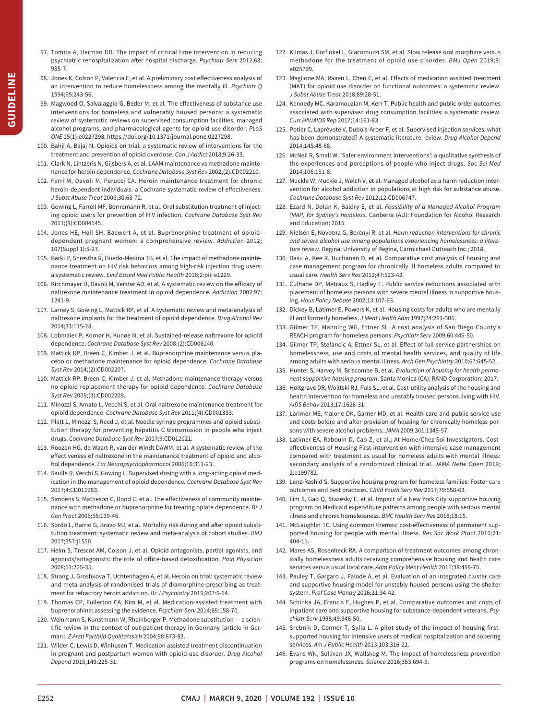- <span id="page-12-2"></span><span id="page-12-1"></span><span id="page-12-0"></span>**SUIDELINE GUIDELINE**
- 97. Tomita A, Herman DB. The impact of critical time intervention in reducing psychiatric rehospitalization afer hospital discharge. *Psychiatr Serv* 2012;63: 935-7.
- 98. Jones K, Colson P, Valencia E, et al. A preliminary cost efectiveness analysis of an intervention to reduce homelessness among the mentally ill. *Psychiatr Q*  1994;65:243-56.
- 99. Magwood O, Salvalaggio G, Beder M, et al. The effectiveness of substance use interventions for homeless and vulnerably housed persons: a systematic review of systematic reviews on supervised consumption facilities, managed alcohol programs, and pharmacological agents for opioid use disorder. *PLoS ONE* 15(1):e0227298. https://doi.org/10.1371/journal.pone.0227298.
- <span id="page-12-3"></span> 100. Bahji A, Bajaj N. Opioids on trial: a systematic review of interventions for the treatment and prevention of opioid overdose. *Can J Addict* 2018;9:26-33.
- 101. Clark N, Lintzeris N, Gijsbers A, et al. LAAM maintenance vs methadone maintenance for heroin dependence. *Cochrane Database Syst Rev* 2002;(2):CD002210.
- 102. Ferri M, Davoli M, Perucci CA. Heroin maintenance treatment for chronic heroin-dependent individuals: a Cochrane systematic review of efectiveness. *J Subst Abuse Treat* 2006;30:63-72.
- <span id="page-12-8"></span> 103. Gowing L, Farrell MF, Bornemann R, et al. Oral substitution treatment of injecting opioid users for prevention of HIV infection. *Cochrane Database Syst Rev*  2011;(8):CD004145.
- 104. Jones HE, Heil SH, Baewert A, et al. Buprenorphine treatment of opioiddependent pregnant women: a comprehensive review. *Addiction* 2012; 107(Suppl 1):5-27.
- 105. Karki P, Shrestha R, Huedo-Medina TB, et al. The impact of methadone maintenance treatment on HIV risk behaviors among high-risk injection drug users: a systematic review. *Evid Based Med Public Health* 2016;2:pii: e1229.
- 106. Kirchmayer U, Davoli M, Verster AD, et al. A systematic review on the eficacy of naltrexone maintenance treatment in opioid dependence. *Addiction* 2002;97: 1241-9.
- 107. Larney S, Gowing L, Mattick RP, et al. A systematic review and meta-analysis of naltrexone implants for the treatment of opioid dependence. *Drug Alcohol Rev*  2014;33:115-28.
- 108. Lobmaier P, Kornør H, Kunøe N, et al. Sustained-release naltrexone for opioid dependence. *Cochrane Database Syst Rev* 2008;(2):CD006140.
- <span id="page-12-9"></span> 109. Mattick RP, Breen C, Kimber J, et al. Buprenorphine maintenance versus placebo or methadone maintenance for opioid dependence. *Cochrane Database Syst Rev* 2014;(2):CD002207.
- <span id="page-12-6"></span> 110. Mattick RP, Breen C, Kimber J, et al. Methadone maintenance therapy versus no opioid replacement therapy for opioid dependence. *Cochrane Database Syst Rev* 2009;(3):CD002209.
- 111. Minozzi S, Amato L, Vecchi S, et al. Oral naltrexone maintenance treatment for opioid dependence. *Cochrane Database Syst Rev* 2011;(4):CD001333.
- <span id="page-12-7"></span> 112. Platt L, Minozzi S, Reed J, et al. Needle syringe programmes and opioid substitution therapy for preventing hepatitis C transmission in people who inject drugs. *Cochrane Database Syst Rev* 2017;9:CD012021.
- 113. Roozen HG, de Waart R, van der Windt DAWM, et al. A systematic review of the efectiveness of naltrexone in the maintenance treatment of opioid and alcohol dependence. *Eur Neuropsychopharmacol* 2006;16:311-23.
- 114. Saulle R, Vecchi S, Gowing L. Supervised dosing with a long-acting opioid medication in the management of opioid dependence. *Cochrane Database Syst Rev*  2017;4:CD011983.
- 115. Simoens S, Matheson C, Bond C, et al. The efectiveness of community maintenance with methadone or buprenorphine for treating opiate dependence. *Br J Gen Pract* 2005;55:139-46.
- <span id="page-12-5"></span>116. Sordo L, Barrio G, Bravo MJ, et al. Mortality risk during and after opioid substitution treatment: systematic review and meta-analysis of cohort studies. *BMJ*  2017;357:j1550.
- <span id="page-12-10"></span> 117. Helm S, Trescot AM, Colson J, et al. Opioid antagonists, partial agonists, and agonists/antagonists: the role of ofice-based detoxification. *Pain Physician*  2008;11:225-35.
- 118. Strang J, Groshkova T, Uchtenhagen A, et al. Heroin on trial: systematic review and meta-analysis of randomised trials of diamorphine-prescribing as treatment for refractory heroin addiction. *Br J Psychiatry* 2015;207:5-14.
- 119. Thomas CP, Fullerton CA, Kim M, et al. Medication-assisted treatment with buprenorphine: assessing the evidence. *Psychiatr Serv* 2014;65:158-70.
- 120. Weinmann S, Kunstmann W, Rheinberger P. Methadone substitution a scientific review in the context of out-patient therapy in Germany [article in German]. *Z Arztl Fortbild Qualitatssich* 2004;98:673-82.
- 121. Wilder C, Lewis D, Winhusen T. Medication assisted treatment discontinuation in pregnant and postpartum women with opioid use disorder. *Drug Alcohol Depend* 2015;149:225-31.
- <span id="page-12-11"></span>122. Klimas J, Gorfinkel L, Giacomuzzi SM, et al. Slow release oral morphine versus methadone for the treatment of opioid use disorder. *BMJ Open* 2019;9: e025799.
- <span id="page-12-4"></span>123. Maglione MA, Raaen L, Chen C, et al. Efects of medication assisted treatment (MAT) for opioid use disorder on functional outcomes: a systematic review. *J Subst Abuse Treat* 2018;89:28-51.
- <span id="page-12-12"></span>124. Kennedy MC, Karamouzian M, Kerr T. Public health and public order outcomes associated with supervised drug consumption facilities: a systematic review. *Curr HIV/AIDS Rep* 2017;14:161-83.
- <span id="page-12-17"></span>125. Potier C, Laprévote V, Dubois-Arber F, et al. Supervised injection services: what has been demonstrated? A systematic literature review. *Drug Alcohol Depend*  2014;145:48-68.
- <span id="page-12-13"></span>126. McNeil R, Small W. 'Safer environment interventions': a qualitative synthesis of the experiences and perceptions of people who inject drugs. *Soc Sci Med*  2014;106:151-8.
- <span id="page-12-14"></span>127. Muckle W, Muckle J, Welch V, et al. Managed alcohol as a harm reduction intervention for alcohol addiction in populations at high risk for substance abuse. *Cochrane Database Syst Rev* 2012;12:CD006747.
- <span id="page-12-15"></span>128. Ezard N, Dolan K, Baldry E, et al. *Feasibility of a Managed Alcohol Program (MAP) for Sydney's homeless*. Canberra (AU): Foundation for Alcohol Research and Education; 2015.
- <span id="page-12-16"></span>129. Nielsen E, Novotna G, Berenyi R, et al. *Harm reduction interventions for chronic and severe alcohol use among populations experiencing homelessness: a literature review*. Regina: University of Regina, Carmichael Outreach Inc.; 2018.
- <span id="page-12-18"></span>130. Basu A, Kee R, Buchanan D, et al. Comparative cost analysis of housing and case management program for chronically ill homeless adults compared to usual care. *Health Serv Res* 2012;47:523-43.
- <span id="page-12-20"></span>131. Culhane DP, Metraux S, Hadley T. Public service reductions associated with placement of homeless persons with severe mental illness in supportive housing. *Hous Policy Debate* 2002;13:107-63.
- 132. Dickey B, Latimer E, Powers K, et al. Housing costs for adults who are mentally ill and formerly homeless. *J Ment Health Adm* 1997;24:291-305.
- 133. Gilmer TP, Manning WG, Ettner SL. A cost analysis of San Diego County's REACH program for homeless persons. *Psychiatr Serv* 2009;60:445-50.
- <span id="page-12-21"></span>134. Gilmer TP, Stefancic A, Ettner SL, et al. Efect of full-service partnerships on homelessness, use and costs of mental health services, and quality of life among adults with serious mental illness. *Arch Gen Psychiatry* 2010;67:645-52.
- <span id="page-12-22"></span>135. Hunter S, Harvey M, Briscombe B, et al. *Evaluation of housing for health permanent supportive housing program*. Santa Monica (CA): RAND Corporation; 2017.
- <span id="page-12-26"></span>136. Holtgrave DR, Wolitski RJ, Pals SL, et al. Cost-utility analysis of the housing and health intervention for homeless and unstably housed persons living with HIV. *AIDS Behav* 2013;17:1626-31.
- <span id="page-12-23"></span>137. Larimer ME, Malone DK, Garner MD, et al. Health care and public service use and costs before and afer provision of housing for chronically homeless persons with severe alcohol problems. *JAMA* 2009;301:1349-57.
- <span id="page-12-27"></span> secondary analysis of a randomized clinical trial. *JAMA Netw Open* 2019; 138. Latimer EA, Rabouin D, Cao Z, et al.; At Home/Chez Soi Investigators. Costefectiveness of Housing First intervention with intensive case management compared with treatment as usual for homeless adults with mental illness: 2:e199782.
- <span id="page-12-24"></span>139. Lenz-Rashid S. Supportive housing program for homeless families: Foster care outcomes and best practices. *Child Youth Serv Rev* 2017;79:558-63.
- 140. Lim S, Gao Q, Stazesky E, et al. Impact of a New York City supportive housing program on Medicaid expenditure patterns among people with serious mental illness and chronic homelessness. *BMC Health Serv Res* 2018;18:15.
- <span id="page-12-25"></span>141. McLaughlin TC. Using common themes: cost-efectiveness of permanent supported housing for people with mental illness. *Res Soc Work Pract* 2010;21: 404-11.
- <span id="page-12-19"></span>142. Mares AS, Rosenheck RA. A comparison of treatment outcomes among chronically homelessness adults receiving comprehensive housing and health care services versus usual local care. *Adm Policy Ment Health* 2011;38:459-75.
- 143. Pauley T, Gargaro J, Falode A, et al. Evaluation of an integrated cluster care and supportive housing model for unstably housed persons using the shelter system. *Prof Case Manag* 2016;21:34-42.
- 144. Schinka JA, Francis E, Hughes P, et al. Comparative outcomes and costs of inpatient care and supportive housing for substance-dependent veterans. *Psychiatr Serv* 1998;49:946-50.
- 145. Srebnik D, Connor T, Sylla L. A pilot study of the impact of housing firstsupported housing for intensive users of medical hospitalization and sobering services. *Am J Public Health* 2013;103:316-21.
- 146. Evans WN, Sullivan JX, Wallskog M. The impact of homelessness prevention programs on homelessness. *Science* 2016;353:694-9.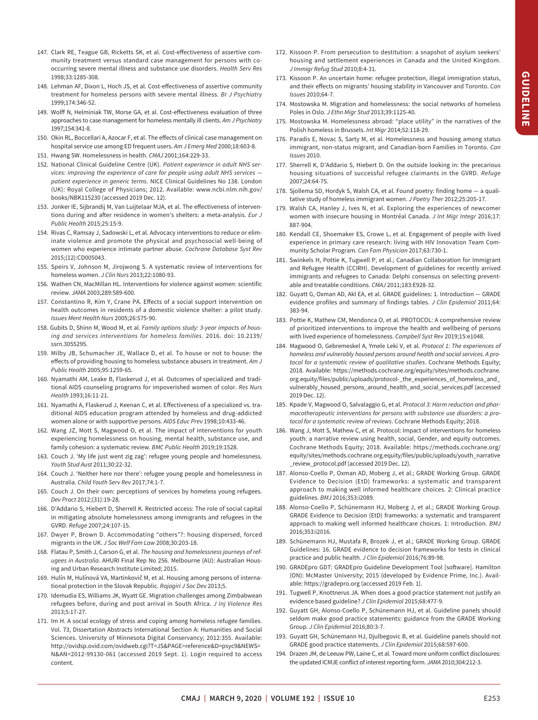- <span id="page-13-1"></span> 147. Clark RE, Teague GB, Ricketts SK, et al. Cost-efectiveness of assertive community treatment versus standard case management for persons with cooccurring severe mental illness and substance use disorders. *Health Serv Res*  1998;33:1285-308.
- <span id="page-13-3"></span> 148. Lehman AF, Dixon L, Hoch JS, et al. Cost-efectiveness of assertive community treatment for homeless persons with severe mental illness. *Br J Psychiatry*  1999;174:346-52.
- <span id="page-13-4"></span> 149. Wolf N, Helminiak TW, Morse GA, et al. Cost-efectiveness evaluation of three approaches to case management for homeless mentally ill clients. *Am J Psychiatry*  1997;154:341-8.
- <span id="page-13-2"></span> 150. Okin RL, Boccellari A, Azocar F, et al. The efects of clinical case management on  $\ddot{\phantom{0}}$ hospital service use among ED frequent users. *Am J Emerg Med* 2000;18:603-8.
- <span id="page-13-5"></span>151. Hwang SW. Homelessness in health. *CMAJ* 2001;164:229-33.
- <span id="page-13-6"></span>152. National Clinical Guideline Centre (UK). *Patient experience in adult NHS services: improving the experience of care for people using adult NHS services patient experience in generic terms*. NICE Clinical Guidelines No 138. London (UK): Royal College of Physicians; 2012. Available: www.ncbi.nlm.nih.gov/ [books/NBK115230](www.ncbi.nlm.nih.gov/books/NBK115230) (accessed 2019 Dec. 12).
- <span id="page-13-7"></span> 153. Jonker IE, Sijbrandij M, Van Luijtelaar MJA, et al. The efectiveness of interven- tions during and afer residence in women's shelters: a meta-analysis. *Eur J Public Health* 2015;25:15-9.
- 154. Rivas C, Ramsay J, Sadowski L, et al. Advocacy interventions to reduce or eliminate violence and promote the physical and psychosocial well-being of women who experience intimate partner abuse. *Cochrane Database Syst Rev*  2015;(12):CD005043.
- <span id="page-13-12"></span> 155. Speirs V, Johnson M, Jirojwong S. A systematic review of interventions for homeless women. *J Clin Nurs* 2013;22:1080-93.
- <span id="page-13-8"></span> 156. Wathen CN, MacMillan HL. Interventions for violence against women: scientific review. *JAMA* 2003;289:589-600.
- <span id="page-13-9"></span> 157. Constantino R, Kim Y, Crane PA. Efects of a social support intervention on health outcomes in residents of a domestic violence shelter: a pilot study. *Issues Ment Health Nurs* 2005;26:575-90.
- <span id="page-13-11"></span> 158. Gubits D, Shinn M, Wood M, et al. *Family options study: 3-year impacts of housing and services interventions for homeless families*. 2016. doi: 10.2139/ ssrn.3055295.
- 159. Milby JB, Schumacher JE, Wallace D, et al. To house or not to house: the efects of providing housing to homeless substance abusers in treatment. *Am J Public Health* 2005;95:1259-65.
- 160. Nyamathi AM, Leake B, Flaskerud J, et al. Outcomes of specialized and traditional AIDS counseling programs for impoverished women of color. *Res Nurs Health* 1993;16:11-21.
- <span id="page-13-10"></span> 161. Nyamathi A, Flaskerud J, Keenan C, et al. Efectiveness of a specialized vs. traditional AIDS education program attended by homeless and drug-addicted women alone or with supportive persons. *AIDS Educ Prev* 1998;10:433-46.
- <span id="page-13-13"></span> 162. Wang JZ, Mott S, Magwood O, et al. The impact of interventions for youth experiencing homelessness on housing, mental health, substance use, and family cohesion: a systematic review. *BMC Public Health* 2019;19:1528.
- <span id="page-13-14"></span> 163. Couch J. 'My life just went zig zag': refugee young people and homelessness. *Youth Stud Aust* 2011;30:22-32.
- 164. Couch J. 'Neither here nor there': refugee young people and homelessness in Australia. *Child Youth Serv Rev* 2017;74:1-7.
- 165. Couch J. On their own: perceptions of services by homeless young refugees. *Dev Pract* 2012;(31):19-28.
- 166. D'Addario S, Hiebert D, Sherrell K. Restricted access: The role of social capital GVRD. *Refuge* 2007;24:107-15. in mitigating absolute homelessness among immigrants and refugees in the
- 167. Dwyer P, Brown D. Accommodating "others"?: housing dispersed, forced migrants in the UK. *J Soc Welf Fam Law* 2008;30:203-18.
- 168. Flatau P, Smith J, Carson G, et al. *The housing and homelessness journeys of refugees in Australia*. AHURI Final Rep No 256. Melbourne (AU): Australian Housing and Urban Research Institute Limited; 2015.
- 169. Hulín M, Hulínová VA, Martinkovič M, et al. Housing among persons of international protection in the Slovak Republic. *Rajagiri J Soc Dev* 2013;5.
- 170. Idemudia ES, Williams JK, Wyatt GE. Migration challenges among Zimbabwean refugees before, during and post arrival in South Africa. *J Inj Violence Res*  2013;5:17-27.
- 171. Im H. A social ecology of stress and coping among homeless refugee families. Sciences. University of Minnesota Digital Conservancy; 2012:355. Available: Vol. 73, Dissertation Abstracts International Section A: Humanities and Social http://ovidsp.ovid.com/ovidweb.cgi?T=JS&PAGE=reference&D=psyc9&NEWS= [N&AN=2012-99130-061](http://ovidsp.ovid.com/ovidweb.cgi?T=JS&PAGE=reference&D=psyc9&NEWS=N&AN=2012-99130-061) (accessed 2019 Sept. 1). Login required to access content.
- 172. Kissoon P. From persecution to destitution: a snapshot of asylum seekers' housing and settlement experiences in Canada and the United Kingdom. *J Immigr Refug Stud* 2010;8:4-31.
- 173. Kissoon P. An uncertain home: refugee protection, illegal immigration status, and their efects on migrants' housing stability in Vancouver and Toronto. *Can Issues* 2010;64-7.
- 174. Mostowska M. Migration and homelessness: the social networks of homeless Poles in Oslo. *J Ethn Migr Stud* 2013;39:1125-40.
- 175. Mostowska M. Homelessness abroad: "place utility" in the narratives of the Polish homeless in Brussels. *Int Migr* 2014;52:118-29.
- 176. Paradis E, Novac S, Sarty M, et al. Homelessness and housing among status immigrant, non-status migrant, and Canadian-born Families in Toronto. *Can Issues* 2010.
- housing situations of successful refugee claimants in the GVRD. *Refuge*  177. Sherrell K, D'Addario S, Hiebert D. On the outside looking in: the precarious 2007;24:64-75.
- 178. Sjollema SD, Hordyk S, Walsh CA, et al. Found poetry: finding home a qualitative study of homeless immigrant women. *J Poetry Ther* 2012;25:205-17.
- <span id="page-13-15"></span> women with insecure housing in Montréal Canada. *J Int Migr Integr* 2016;17: 179. Walsh CA, Hanley J, Ives N, et al. Exploring the experiences of newcomer 887-904.
- <span id="page-13-16"></span>180. Kendall CE, Shoemaker ES, Crowe L, et al. Engagement of people with lived experience in primary care research: living with HIV Innovation Team Community Scholar Program. *Can Fam Physician* 2017;63:730-1.
- <span id="page-13-17"></span>181. Swinkels H, Pottie K, Tugwell P, et al.; Canadian Collaboration for Immigrant and Refugee Health (CCIRH). Development of guidelines for recently arrived immigrants and refugees to Canada: Delphi consensus on selecting preventable and treatable conditions. *CMAJ* 2011;183:E928-32.
- <span id="page-13-18"></span> evidence profiles and summary of findings tables. *J Clin Epidemiol* 2011;64: 182. Guyatt G, Oxman AD, Akl EA, et al. GRADE guidelines: 1. Introduction — GRADE 383-94.
- <span id="page-13-19"></span>183. Pottie K, Mathew CM, Mendonca O, et al. PROTOCOL: A comprehensive review of prioritized interventions to improve the health and wellbeing of persons with lived experience of homelessness. *Campbell Syst Rev* 2019;15:e1048.
- 184. Magwood O, Gebremeskel A, Ymele Leki V, et al. *Protocol 1: The experiences of homeless and vulnerably housed persons around health and social services. A protocol for a systematic review of qualitative studies*. Cochrane Methods Equity; 2018. Available: https://methods.cochrane.org/equity/sites/methods.cochrane. [org.equity/files/public/uploads/protocol-\\_the\\_experiences\\_of\\_homeless\\_and\\_](https://methods.cochrane.org/equity/sites/methods.cochrane. org.equity/files/public/uploads/protocol-_the_experiences_of_homeless_and_vulnerably_housed_persons_around_health_and_social_services.pdf)  [vulnerably\\_housed\\_persons\\_around\\_health\\_and\\_social\\_services.pdf](https://methods.cochrane.org/equity/sites/methods.cochrane. org.equity/files/public/uploads/protocol-_the_experiences_of_homeless_and_vulnerably_housed_persons_around_health_and_social_services.pdf) (accessed 2019 Dec. 12).
- 185. Kpade V, Magwood O, Salvalaggio G, et al. *Protocol 3: Harm reduction and pharmacotherapeutic interventions for persons with substance use disorders: a protocol for a systematic review of reviews*. Cochrane Methods Equity; 2018.
- <span id="page-13-20"></span>186. Wang J, Mott S, Mathew C, et al. Protocol: Impact of interventions for homeless youth: a narrative review using health, social, Gender, and equity outcomes. Cochrane Methods Equity; 2018. Available: https://methods.cochrane.org/ [equity/sites/methods.cochrane.org.equity/files/public/uploads/youth\\_narrative](https://methods.cochrane.org/equity/sites/methods.cochrane.org.equity/files/public/uploads/youth_narrative_review_protocol.pdf)  [\\_review\\_protocol.pdf \(](https://methods.cochrane.org/equity/sites/methods.cochrane.org.equity/files/public/uploads/youth_narrative_review_protocol.pdf)accessed 2019 Dec. 12).
- <span id="page-13-21"></span>187. Alonso-Coello P, Oxman AD, Moberg J, et al.; GRADE Working Group. GRADE Evidence to Decision (EtD) frameworks: a systematic and transparent approach to making well informed healthcare choices. 2: Clinical practice guidelines. *BMJ* 2016;353:i2089.
- approach to making well informed healthcare choices. 1: Introduction. *BMJ*  188. Alonso-Coello P, Schünemann HJ, Moberg J, et al.; GRADE Working Group. GRADE Evidence to Decision (EtD) frameworks: a systematic and transparent 2016;353:i2016.
- <span id="page-13-22"></span>189. Schünemann HJ, Mustafa R, Brozek J, et al.; GRADE Working Group. GRADE Guidelines: 16. GRADE evidence to decision frameworks for tests in clinical practice and public health. *J Clin Epidemiol* 2016;76:89-98.
- <span id="page-13-0"></span>190. GRADEpro GDT: GRADEpro Guideline Development Tool [sofware]. Hamilton (ON): McMaster University; 2015 (developed by Evidence Prime, Inc.). Available: https://gradepro.org (accessed 2019 Feb. 1).
- 191. Tugwell P, Knottnerus JA. When does a good practice statement not justify an evidence based guideline? *J Clin Epidemiol* 2015;68:477-9.
- 192. Guyatt GH, Alonso-Coello P, Schünemann HJ, et al. Guideline panels should seldom make good practice statements: guidance from the GRADE Working Group. *J Clin Epidemiol* 2016;80:3-7.
- 193. Guyatt GH, Schünemann HJ, Djulbegovic B, et al. Guideline panels should not GRADE good practice statements. *J Clin Epidemiol* 2015;68:597-600.
- j 194. Drazen JM, de Leeuw PW, Laine C, et al. Toward more uniform conflict disclosures: the updated ICMJE conflict of interest reporting form. *JAMA* 2010;304:212-3.